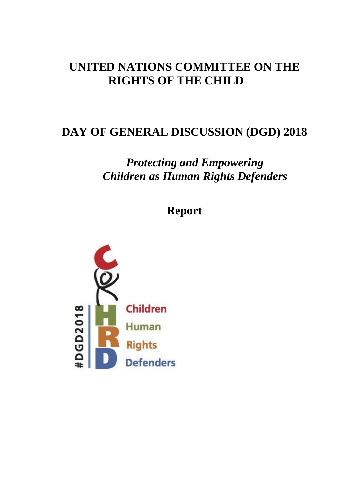# **UNITED NATIONS COMMITTEE ON THE RIGHTS OF THE CHILD**

# **DAY OF GENERAL DISCUSSION (DGD) 2018**

# *Protecting and Empowering Children as Human Rights Defenders*

## **Report**

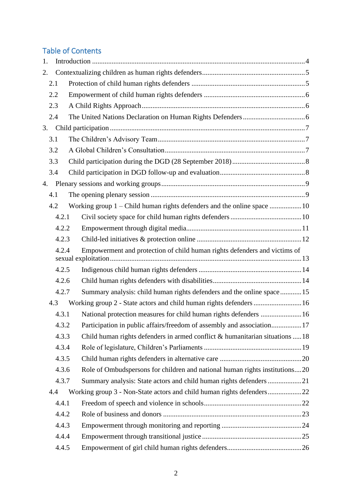## Table of Contents

| 1. |       |                                                                                |  |
|----|-------|--------------------------------------------------------------------------------|--|
| 2. |       |                                                                                |  |
|    | 2.1   |                                                                                |  |
|    | 2.2   |                                                                                |  |
|    | 2.3   |                                                                                |  |
|    | 2.4   |                                                                                |  |
| 3. |       |                                                                                |  |
|    | 3.1   |                                                                                |  |
|    | 3.2   |                                                                                |  |
|    | 3.3   |                                                                                |  |
|    | 3.4   |                                                                                |  |
| 4. |       |                                                                                |  |
|    | 4.1   |                                                                                |  |
|    | 4.2   |                                                                                |  |
|    | 4.2.1 |                                                                                |  |
|    | 4.2.2 |                                                                                |  |
|    | 4.2.3 |                                                                                |  |
|    | 4.2.4 | Empowerment and protection of child human rights defenders and victims of      |  |
|    |       |                                                                                |  |
|    | 4.2.5 |                                                                                |  |
|    | 4.2.6 |                                                                                |  |
|    | 4.2.7 | Summary analysis: child human rights defenders and the online space15          |  |
|    | 4.3   | Working group 2 - State actors and child human rights defenders 16             |  |
|    | 4.3.1 | National protection measures for child human rights defenders  16              |  |
|    | 4.3.2 |                                                                                |  |
|    | 4.3.3 | Child human rights defenders in armed conflict $&$ humanitarian situations  18 |  |
|    | 4.3.4 |                                                                                |  |
|    | 4.3.5 |                                                                                |  |
|    | 4.3.6 | Role of Ombudspersons for children and national human rights institutions20    |  |
|    | 4.3.7 | Summary analysis: State actors and child human rights defenders 21             |  |
|    | 4.4   |                                                                                |  |
|    | 4.4.1 |                                                                                |  |
|    | 4.4.2 |                                                                                |  |
|    | 4.4.3 |                                                                                |  |
|    | 4.4.4 |                                                                                |  |
|    | 4.4.5 |                                                                                |  |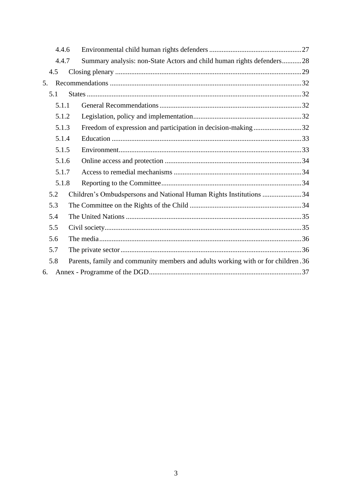|    | 4.4.6 |  |                                                                                  |  |  |
|----|-------|--|----------------------------------------------------------------------------------|--|--|
|    | 4.4.7 |  | Summary analysis: non-State Actors and child human rights defenders28            |  |  |
|    | 4.5   |  |                                                                                  |  |  |
| 5. |       |  |                                                                                  |  |  |
|    | 5.1   |  |                                                                                  |  |  |
|    | 5.1.1 |  |                                                                                  |  |  |
|    | 5.1.2 |  |                                                                                  |  |  |
|    | 5.1.3 |  | Freedom of expression and participation in decision-making 32                    |  |  |
|    | 5.1.4 |  |                                                                                  |  |  |
|    | 5.1.5 |  |                                                                                  |  |  |
|    | 5.1.6 |  |                                                                                  |  |  |
|    | 5.1.7 |  |                                                                                  |  |  |
|    | 5.1.8 |  |                                                                                  |  |  |
|    | 5.2   |  | Children's Ombudspersons and National Human Rights Institutions 34               |  |  |
|    | 5.3   |  |                                                                                  |  |  |
|    | 5.4   |  |                                                                                  |  |  |
|    | 5.5   |  |                                                                                  |  |  |
|    | 5.6   |  |                                                                                  |  |  |
|    | 5.7   |  |                                                                                  |  |  |
|    | 5.8   |  | Parents, family and community members and adults working with or for children.36 |  |  |
| 6. |       |  |                                                                                  |  |  |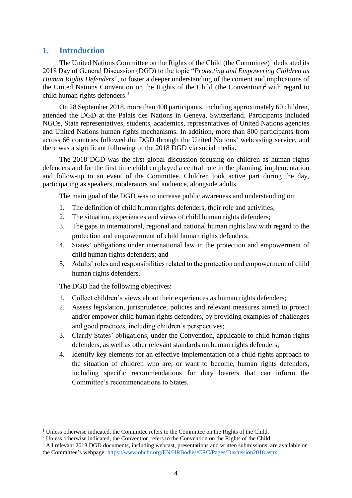## <span id="page-3-0"></span>**1. Introduction**

The United Nations Committee on the Rights of the Child (the Committee) $<sup>1</sup>$  dedicated its</sup> 2018 Day of General Discussion (DGD) to the topic "*Protecting and Empowering Children as Human Rights Defenders*", to foster a deeper understanding of the content and implications of the United Nations Convention on the Rights of the Child (the Convention) <sup>2</sup> with regard to child human rights defenders.<sup>3</sup>

On 28 September 2018, more than 400 participants, including approximately 60 children, attended the DGD at the Palais des Nations in Geneva, Switzerland. Participants included NGOs, State representatives, students, academics, representatives of United Nations agencies and United Nations human rights mechanisms. In addition, more than 800 participants from across 66 countries followed the DGD through the United Nations' webcasting service, and there was a significant following of the 2018 DGD via social media.

The 2018 DGD was the first global discussion focusing on children as human rights defenders and for the first time children played a central role in the planning, implementation and follow-up to an event of the Committee. Children took active part during the day, participating as speakers, moderators and audience, alongside adults.

The main goal of the DGD was to increase public awareness and understanding on:

- 1. The definition of child human rights defenders, their role and activities;
- 2. The situation, experiences and views of child human rights defenders;
- 3. The gaps in international, regional and national human rights law with regard to the protection and empowerment of child human rights defenders;
- 4. States' obligations under international law in the protection and empowerment of child human rights defenders; and
- 5. Adults' roles and responsibilities related to the protection and empowerment of child human rights defenders.

The DGD had the following objectives:

- 1. Collect children's views about their experiences as human rights defenders;
- 2. Assess legislation, jurisprudence, policies and relevant measures aimed to protect and/or empower child human rights defenders, by providing examples of challenges and good practices, including children's perspectives;
- 3. Clarify States' obligations, under the Convention, applicable to child human rights defenders, as well as other relevant standards on human rights defenders;
- 4. Identify key elements for an effective implementation of a child rights approach to the situation of children who are, or want to become, human rights defenders, including specific recommendations for duty bearers that can inform the Committee's recommendations to States.

 $<sup>1</sup>$  Unless otherwise indicated, the Committee refers to the Committee on the Rights of the Child.</sup>

<sup>&</sup>lt;sup>2</sup> Unless otherwise indicated, the Convention refers to the Convention on the Rights of the Child.

<sup>&</sup>lt;sup>3</sup> All relevant 2018 DGD documents, including webcast, presentations and written submissions, are available on the Committee's webpage: <https://www.ohchr.org/EN/HRBodies/CRC/Pages/Discussion2018.aspx>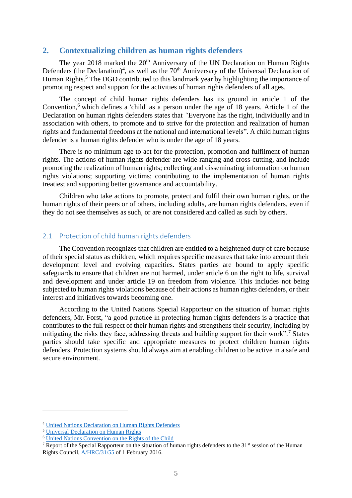## <span id="page-4-0"></span>**2. Contextualizing children as human rights defenders**

The year 2018 marked the  $20<sup>th</sup>$  Anniversary of the UN Declaration on Human Rights Defenders (the Declaration)<sup>4</sup>, as well as the  $70<sup>th</sup>$  Anniversary of the Universal Declaration of Human Rights.<sup>5</sup> The DGD contributed to this landmark year by highlighting the importance of promoting respect and support for the activities of human rights defenders of all ages.

The concept of child human rights defenders has its ground in article 1 of the Convention, <sup>6</sup> which defines a 'child' as a person under the age of 18 years. Article 1 of the Declaration on human rights defenders states that *"*Everyone has the right, individually and in association with others, to promote and to strive for the protection and realization of human rights and fundamental freedoms at the national and international levels". A child human rights defender is a human rights defender who is under the age of 18 years.

There is no minimum age to act for the protection, promotion and fulfilment of human rights. The actions of human rights defender are wide-ranging and cross-cutting, and include promoting the realization of human rights; collecting and disseminating information on human rights violations; supporting victims; contributing to the implementation of human rights treaties; and supporting better governance and accountability.

Children who take actions to promote, protect and fulfil their own human rights, or the human rights of their peers or of others, including adults, are human rights defenders, even if they do not see themselves as such, or are not considered and called as such by others.

#### <span id="page-4-1"></span>2.1 Protection of child human rights defenders

The Convention recognizes that children are entitled to a heightened duty of care because of their special status as children, which requires specific measures that take into account their development level and evolving capacities. States parties are bound to apply specific safeguards to ensure that children are not harmed, under article 6 on the right to life, survival and development and under article 19 on freedom from violence. This includes not being subjected to human rights violations because of their actions as human rights defenders, or their interest and initiatives towards becoming one.

According to the United Nations Special Rapporteur on the situation of human rights defenders, Mr. Forst, "a good practice in protecting human rights defenders is a practice that contributes to the full respect of their human rights and strengthens their security, including by mitigating the risks they face, addressing threats and building support for their work".<sup>7</sup> States parties should take specific and appropriate measures to protect children human rights defenders. Protection systems should always aim at enabling children to be active in a safe and secure environment.

<sup>4</sup> [United Nations Declaration on Human Rights Defenders](https://www.un.org/en/universal-declaration-human-rights/)

<sup>5</sup> [Universal Declaration on Human Rights](https://www.ohchr.org/en/udhr/Pages/UDHRIndex.aspx)

<sup>6</sup> [United Nations Convention on the Rights of the Child](https://www.ohchr.org/en/professionalinterest/pages/crc.aspx)

<sup>&</sup>lt;sup>7</sup> Report of the Special Rapporteur on the situation of human rights defenders to the 31<sup>st</sup> session of the Human Rights Council, [A/HRC/31/55](https://documents-dds-ny.un.org/doc/UNDOC/GEN/G16/015/56/pdf/G1601556.pdf?OpenElement) of 1 February 2016.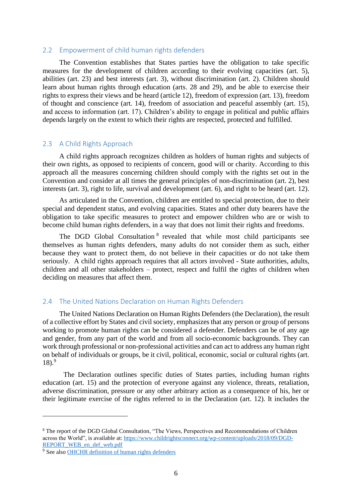#### <span id="page-5-0"></span>2.2 Empowerment of child human rights defenders

The Convention establishes that States parties have the obligation to take specific measures for the development of children according to their evolving capacities (art. 5), abilities (art. 23) and best interests (art. 3), without discrimination (art. 2). Children should learn about human rights through education (arts. 28 and 29), and be able to exercise their rights to express their views and be heard (article 12), freedom of expression (art. 13), freedom of thought and conscience (art. 14), freedom of association and peaceful assembly (art. 15), and access to information (art. 17). Children's ability to engage in political and public affairs depends largely on the extent to which their rights are respected, protected and fulfilled.

## <span id="page-5-1"></span>2.3 A Child Rights Approach

A child rights approach recognizes children as holders of human rights and subjects of their own rights, as opposed to recipients of concern, good will or charity. According to this approach all the measures concerning children should comply with the rights set out in the Convention and consider at all times the general principles of non-discrimination (art. 2), best interests (art. 3), right to life, survival and development (art. 6), and right to be heard (art. 12).

As articulated in the Convention, children are entitled to special protection, due to their special and dependent status, and evolving capacities. States and other duty bearers have the obligation to take specific measures to protect and empower children who are or wish to become child human rights defenders, in a way that does not limit their rights and freedoms.

The DGD Global Consultation <sup>8</sup> revealed that while most child participants see themselves as human rights defenders, many adults do not consider them as such, either because they want to protect them, do not believe in their capacities or do not take them seriously. A child rights approach requires that all actors involved - State authorities, adults, children and all other stakeholders – protect, respect and fulfil the rights of children when deciding on measures that affect them.

## <span id="page-5-2"></span>2.4 The United Nations Declaration on Human Rights Defenders

The United Nations Declaration on Human Rights Defenders (the Declaration), the result of a collective effort by States and civil society, emphasizes that any person or group of persons working to promote human rights can be considered a defender. Defenders can be of any age and gender, from any part of the world and from all socio-economic backgrounds. They can work through professional or non-professional activities and can act to address any human right on behalf of individuals or groups, be it civil, political, economic, social or cultural rights (art.  $18).9$ 

The Declaration outlines specific duties of States parties, including human rights education (art. 15) and the protection of everyone against any violence, threats, retaliation, adverse discrimination, pressure or any other arbitrary action as a consequence of his, her or their legitimate exercise of the rights referred to in the Declaration (art. 12). It includes the

<sup>8</sup> The report of the DGD Global Consultation, "The Views, Perspectives and Recommendations of Children across the World", is available at[: https://www.childrightsconnect.org/wp-content/uploads/2018/09/DGD-](https://www.childrightsconnect.org/wp-content/uploads/2018/09/DGD-REPORT_WEB_en_def_web.pdf)REPORT WEB\_en\_def\_web.pdf

<sup>9</sup> See also [OHCHR definition of human rights defenders](https://www.ohchr.org/EN/Issues/SRHRDefenders/Pages/Defender.aspx)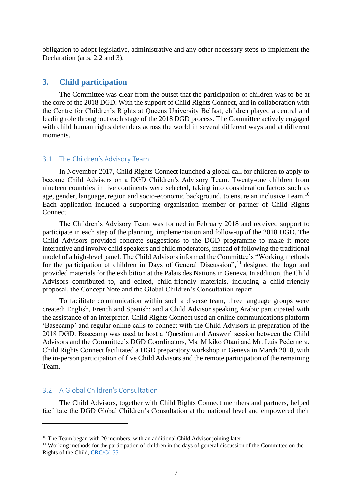obligation to adopt legislative, administrative and any other necessary steps to implement the Declaration (arts. 2.2 and 3).

## <span id="page-6-0"></span>**3. Child participation**

The Committee was clear from the outset that the participation of children was to be at the core of the 2018 DGD. With the support of Child Rights Connect, and in collaboration with the Centre for Children's Rights at Queens University Belfast, children played a central and leading role throughout each stage of the 2018 DGD process. The Committee actively engaged with child human rights defenders across the world in several different ways and at different moments.

#### <span id="page-6-1"></span>3.1 The Children's Advisory Team

In November 2017, Child Rights Connect launched a global call for children to apply to become Child Advisors on a DGD Children's Advisory Team. Twenty-one children from nineteen countries in five continents were selected, taking into consideration factors such as age, gender, language, region and socio-economic background, to ensure an inclusive Team.<sup>10</sup> Each application included a supporting organisation member or partner of Child Rights Connect.

The Children's Advisory Team was formed in February 2018 and received support to participate in each step of the planning, implementation and follow-up of the 2018 DGD. The Child Advisors provided concrete suggestions to the DGD programme to make it more interactive and involve child speakers and child moderators, instead of following the traditional model of a high-level panel. The Child Advisors informed the Committee's "Working methods for the participation of children in Days of General Discussion",<sup>11</sup> designed the logo and provided materials for the exhibition at the Palais des Nations in Geneva. In addition, the Child Advisors contributed to, and edited, child-friendly materials, including a child-friendly proposal, the Concept Note and the Global Children's Consultation report.

To facilitate communication within such a diverse team, three language groups were created: English, French and Spanish; and a Child Advisor speaking Arabic participated with the assistance of an interpreter. Child Rights Connect used an online communications platform 'Basecamp' and regular online calls to connect with the Child Advisors in preparation of the 2018 DGD. Basecamp was used to host a 'Question and Answer' session between the Child Advisors and the Committee's DGD Coordinators, Ms. Mikiko Otani and Mr. Luis Pedernera. Child Rights Connect facilitated a DGD preparatory workshop in Geneva in March 2018, with the in-person participation of five Child Advisors and the remote participation of the remaining Team.

#### <span id="page-6-2"></span>3.2 A Global Children's Consultation

The Child Advisors, together with Child Rights Connect members and partners, helped facilitate the DGD Global Children's Consultation at the national level and empowered their

 $10$  The Team began with 20 members, with an additional Child Advisor joining later.

<sup>&</sup>lt;sup>11</sup> Working methods for the participation of children in the days of general discussion of the Committee on the Rights of the Child, [CRC/C/155](https://tbinternet.ohchr.org/_layouts/treatybodyexternal/Download.aspx?symbolno=CRC/C/155&Lang=en)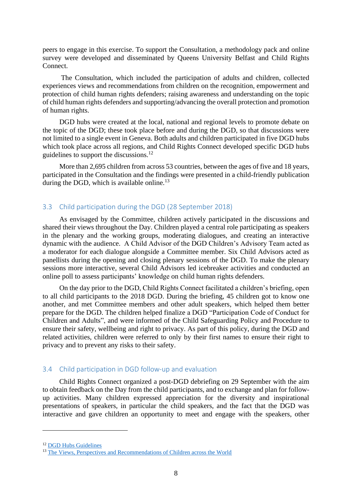peers to engage in this exercise. To support the Consultation, a methodology pack and online survey were developed and disseminated by Queens University Belfast and Child Rights Connect.

The Consultation, which included the participation of adults and children, collected experiences views and recommendations from children on the recognition, empowerment and protection of child human rights defenders; raising awareness and understanding on the topic of child human rights defenders and supporting/advancing the overall protection and promotion of human rights.

DGD hubs were created at the local, national and regional levels to promote debate on the topic of the DGD; these took place before and during the DGD, so that discussions were not limited to a single event in Geneva. Both adults and children participated in five DGD hubs which took place across all regions, and Child Rights Connect developed specific DGD hubs guidelines to support the discussions.<sup>12</sup>

More than 2,695 children from across 53 countries, between the ages of five and 18 years, participated in the Consultation and the findings were presented in a child-friendly publication during the DGD, which is available online.<sup>13</sup>

#### <span id="page-7-0"></span>3.3 Child participation during the DGD (28 September 2018)

As envisaged by the Committee, children actively participated in the discussions and shared their views throughout the Day. Children played a central role participating as speakers in the plenary and the working groups, moderating dialogues, and creating an interactive dynamic with the audience. A Child Advisor of the DGD Children's Advisory Team acted as a moderator for each dialogue alongside a Committee member. Six Child Advisors acted as panellists during the opening and closing plenary sessions of the DGD. To make the plenary sessions more interactive, several Child Advisors led icebreaker activities and conducted an online poll to assess participants' knowledge on child human rights defenders.

On the day prior to the DGD, Child Rights Connect facilitated a children's briefing, open to all child participants to the 2018 DGD. During the briefing, 45 children got to know one another, and met Committee members and other adult speakers, which helped them better prepare for the DGD. The children helped finalize a DGD "Participation Code of Conduct for Children and Adults", and were informed of the Child Safeguarding Policy and Procedure to ensure their safety, wellbeing and right to privacy. As part of this policy, during the DGD and related activities, children were referred to only by their first names to ensure their right to privacy and to prevent any risks to their safety.

#### <span id="page-7-1"></span>3.4 Child participation in DGD follow-up and evaluation

Child Rights Connect organized a post-DGD debriefing on 29 September with the aim to obtain feedback on the Day from the child participants, and to exchange and plan for followup activities. Many children expressed appreciation for the diversity and inspirational presentations of speakers, in particular the child speakers, and the fact that the DGD was interactive and gave children an opportunity to meet and engage with the speakers, other

<sup>12</sup> [DGD Hubs Guidelines](https://www.ohchr.org/Documents/HRBodies/CRC/Discussions/2018/DGD_HubsGuidelines_EN.pdf)

<sup>&</sup>lt;sup>13</sup> [The Views, Perspectives and Recommendations of Children across the World](https://www.childrightsconnect.org/wp-content/uploads/2018/09/DGD-REPORT_WEB_en_def_web.pdf)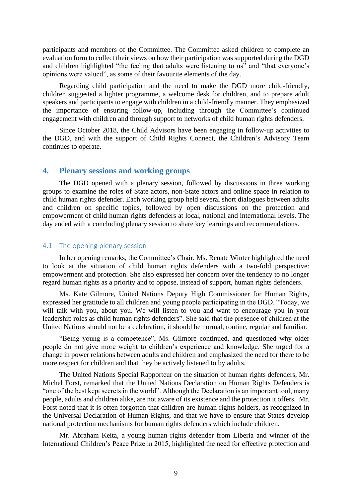participants and members of the Committee. The Committee asked children to complete an evaluation form to collect their views on how their participation was supported during the DGD and children highlighted "the feeling that adults were listening to us" and "that everyone's opinions were valued", as some of their favourite elements of the day.

Regarding child participation and the need to make the DGD more child-friendly, children suggested a lighter programme, a welcome desk for children, and to prepare adult speakers and participants to engage with children in a child-friendly manner. They emphasized the importance of ensuring follow-up, including through the Committee's continued engagement with children and through support to networks of child human rights defenders.

Since October 2018, the Child Advisors have been engaging in follow-up activities to the DGD, and with the support of Child Rights Connect, the Children's Advisory Team continues to operate.

#### <span id="page-8-0"></span>**4. Plenary sessions and working groups**

The DGD opened with a plenary session, followed by discussions in three working groups to examine the roles of State actors, non-State actors and online space in relation to child human rights defender. Each working group held several short dialogues between adults and children on specific topics, followed by open discussions on the protection and empowerment of child human rights defenders at local, national and international levels. The day ended with a concluding plenary session to share key learnings and recommendations.

#### <span id="page-8-1"></span>4.1 The opening plenary session

In her opening remarks, the Committee's Chair, Ms. Renate Winter highlighted the need to look at the situation of child human rights defenders with a two-fold perspective: empowerment and protection. She also expressed her concern over the tendency to no longer regard human rights as a priority and to oppose, instead of support, human rights defenders.

Ms. Kate Gilmore, United Nations Deputy High Commissioner for Human Rights, expressed her gratitude to all children and young people participating in the DGD. "Today, we will talk with you, about you. We will listen to you and want to encourage you in your leadership roles as child human rights defenders". She said that the presence of children at the United Nations should not be a celebration, it should be normal, routine, regular and familiar.

"Being young is a competence", Ms. Gilmore continued, and questioned why older people do not give more weight to children's experience and knowledge. She urged for a change in power relations between adults and children and emphasized the need for there to be more respect for children and that they be actively listened to by adults.

The United Nations Special Rapporteur on the situation of human rights defenders, Mr. Michel Forst, remarked that the United Nations Declaration on Human Rights Defenders is "one of the best kept secrets in the world". Although the Declaration is an important tool, many people, adults and children alike, are not aware of its existence and the protection it offers. Mr. Forst noted that it is often forgotten that children are human rights holders, as recognized in the Universal Declaration of Human Rights, and that we have to ensure that States develop national protection mechanisms for human rights defenders which include children.

Mr. Abraham Keita, a young human rights defender from Liberia and winner of the International Children's Peace Prize in 2015, highlighted the need for effective protection and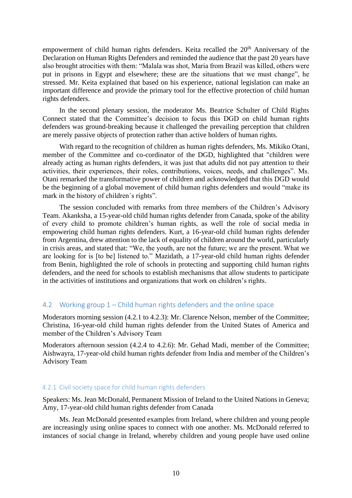empowerment of child human rights defenders. Keita recalled the 20<sup>th</sup> Anniversary of the Declaration on Human Rights Defenders and reminded the audience that the past 20 years have also brought atrocities with them: "Malala was shot, Maria from Brazil was killed, others were put in prisons in Egypt and elsewhere; these are the situations that we must change", he stressed. Mr. Keita explained that based on his experience, national legislation can make an important difference and provide the primary tool for the effective protection of child human rights defenders.

In the second plenary session, the moderator Ms. Beatrice Schulter of Child Rights Connect stated that the Committee's decision to focus this DGD on child human rights defenders was ground-breaking because it challenged the prevailing perception that children are merely passive objects of protection rather than active holders of human rights.

With regard to the recognition of children as human rights defenders, Ms. Mikiko Otani, member of the Committee and co-cordinator of the DGD, highlighted that "children were already acting as human rights defenders, it was just that adults did not pay attention to their activities, their experiences, their roles, contributions, voices, needs, and challenges". Ms. Otani remarked the transformative power of children and acknowledged that this DGD would be the beginning of a global movement of child human rights defenders and would "make its mark in the history of children´s rights".

The session concluded with remarks from three members of the Children's Advisory Team. Akanksha, a 15-year-old child human rights defender from Canada, spoke of the ability of every child to promote children's human rights, as well the role of social media in empowering child human rights defenders. Kurt, a 16-year-old child human rights defender from Argentina, drew attention to the lack of equality of children around the world, particularly in crisis areas, and stated that: "We, the youth, are not the future; we are the present. What we are looking for is [to be] listened to." Mazidath, a 17-year-old child human rights defender from Benin, highlighted the role of schools in protecting and supporting child human rights defenders, and the need for schools to establish mechanisms that allow students to participate in the activities of institutions and organizations that work on children's rights.

#### <span id="page-9-0"></span>4.2 Working group 1 – Child human rights defenders and the online space

Moderators morning session (4.2.1 to 4.2.3): Mr. Clarence Nelson, member of the Committee; Christina, 16-year-old child human rights defender from the United States of America and member of the Children's Advisory Team

Moderators afternoon session (4.2.4 to 4.2.6): Mr. Gehad Madi, member of the Committee; Aishwayra, 17-year-old child human rights defender from India and member of the Children's Advisory Team

#### <span id="page-9-1"></span>4.2.1 Civil society space for child human rights defenders

Speakers: Ms. Jean McDonald, Permanent Mission of Ireland to the United Nations in Geneva; Amy, 17-year-old child human rights defender from Canada

Ms. Jean McDonald presented examples from Ireland, where children and young people are increasingly using online spaces to connect with one another. Ms. McDonald referred to instances of social change in Ireland, whereby children and young people have used online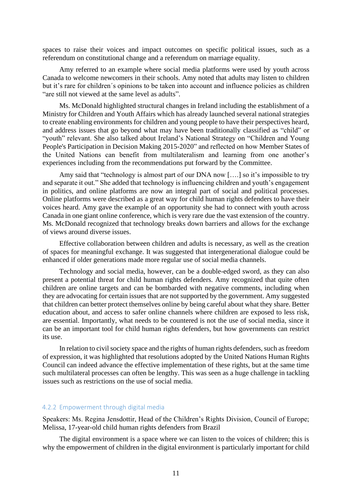spaces to raise their voices and impact outcomes on specific political issues, such as a referendum on constitutional change and a referendum on marriage equality.

Amy referred to an example where social media platforms were used by youth across Canada to welcome newcomers in their schools. Amy noted that adults may listen to children but it's rare for children´s opinions to be taken into account and influence policies as children "are still not viewed at the same level as adults".

Ms. McDonald highlighted structural changes in Ireland including the establishment of a Ministry for Children and Youth Affairs which has already launched several national strategies to create enabling environments for children and young people to have their perspectives heard, and address issues that go beyond what may have been traditionally classified as "child" or "youth" relevant. She also talked about Ireland's National Strategy on "Children and Young People's Participation in Decision Making 2015-2020" and reflected on how Member States of the United Nations can benefit from multilateralism and learning from one another's experiences including from the recommendations put forward by the Committee.

Amy said that "technology is almost part of our DNA now [...] so it's impossible to try and separate it out." She added that technology is influencing children and youth's engagement in politics, and online platforms are now an integral part of social and political processes. Online platforms were described as a great way for child human rights defenders to have their voices heard. Amy gave the example of an opportunity she had to connect with youth across Canada in one giant online conference, which is very rare due the vast extension of the country. Ms. McDonald recognized that technology breaks down barriers and allows for the exchange of views around diverse issues.

Effective collaboration between children and adults is necessary, as well as the creation of spaces for meaningful exchange. It was suggested that intergenerational dialogue could be enhanced if older generations made more regular use of social media channels.

Technology and social media, however, can be a double-edged sword, as they can also present a potential threat for child human rights defenders. Amy recognized that quite often children are online targets and can be bombarded with negative comments, including when they are advocating for certain issues that are not supported by the government. Amy suggested that children can better protect themselves online by being careful about what they share. Better education about, and access to safer online channels where children are exposed to less risk, are essential. Importantly, what needs to be countered is not the use of social media, since it can be an important tool for child human rights defenders, but how governments can restrict its use.

In relation to civil society space and the rights of human rights defenders, such as freedom of expression, it was highlighted that resolutions adopted by the United Nations Human Rights Council can indeed advance the effective implementation of these rights, but at the same time such multilateral processes can often be lengthy. This was seen as a huge challenge in tackling issues such as restrictions on the use of social media.

#### <span id="page-10-0"></span>4.2.2 Empowerment through digital media

Speakers: Ms. Regina Jensdottir, Head of the Children's Rights Division, Council of Europe; Melissa, 17-year-old child human rights defenders from Brazil

The digital environment is a space where we can listen to the voices of children; this is why the empowerment of children in the digital environment is particularly important for child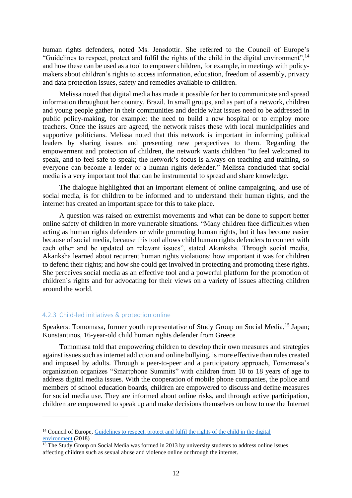human rights defenders, noted Ms. Jensdottir. She referred to the Council of Europe's "Guidelines to respect, protect and fulfil the rights of the child in the digital environment",  $^{14}$ and how these can be used as a tool to empower children, for example, in meetings with policymakers about children's rights to access information, education, freedom of assembly, privacy and data protection issues, safety and remedies available to children.

Melissa noted that digital media has made it possible for her to communicate and spread information throughout her country, Brazil. In small groups, and as part of a network, children and young people gather in their communities and decide what issues need to be addressed in public policy-making, for example: the need to build a new hospital or to employ more teachers. Once the issues are agreed, the network raises these with local municipalities and supportive politicians. Melissa noted that this network is important in informing political leaders by sharing issues and presenting new perspectives to them. Regarding the empowerment and protection of children, the network wants children "to feel welcomed to speak, and to feel safe to speak; the network's focus is always on teaching and training, so everyone can become a leader or a human rights defender." Melissa concluded that social media is a very important tool that can be instrumental to spread and share knowledge.

The dialogue highlighted that an important element of online campaigning, and use of social media, is for children to be informed and to understand their human rights, and the internet has created an important space for this to take place.

A question was raised on extremist movements and what can be done to support better online safety of children in more vulnerable situations. "Many children face difficulties when acting as human rights defenders or while promoting human rights, but it has become easier because of social media, because this tool allows child human rights defenders to connect with each other and be updated on relevant issues", stated Akanksha. Through social media, Akanksha learned about recurrent human rights violations; how important it was for children to defend their rights; and how she could get involved in protecting and promoting these rights. She perceives social media as an effective tool and a powerful platform for the promotion of children´s rights and for advocating for their views on a variety of issues affecting children around the world.

#### <span id="page-11-0"></span>4.2.3 Child-led initiatives & protection online

Speakers: Tomomasa, former youth representative of Study Group on Social Media,<sup>15</sup> Japan; Konstantinos, 16-year-old child human rights defender from Greece

Tomomasa told that empowering children to develop their own measures and strategies against issues such as internet addiction and online bullying, is more effective than rules created and imposed by adults. Through a peer-to-peer and a participatory approach, Tomomasa's organization organizes "Smartphone Summits" with children from 10 to 18 years of age to address digital media issues. With the cooperation of mobile phone companies, the police and members of school education boards, children are empowered to discuss and define measures for social media use. They are informed about online risks, and through active participation, children are empowered to speak up and make decisions themselves on how to use the Internet

<sup>&</sup>lt;sup>14</sup> Council of Europe, [Guidelines to respect, protect and fulfil the rights of the child in](https://rm.coe.int/guidelines-to-respect-protect-and-fulfil-the-rights-of-the-child-in-th/16808d881a) the digital [environment](https://rm.coe.int/guidelines-to-respect-protect-and-fulfil-the-rights-of-the-child-in-th/16808d881a) (2018)

 $\frac{15 \text{ The Study Group on Social Media was formed in 2013 by university students to address online issues}$ affecting children such as sexual abuse and violence online or through the internet.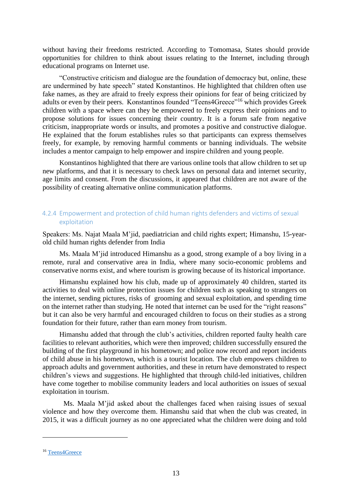without having their freedoms restricted. According to Tomomasa, States should provide opportunities for children to think about issues relating to the Internet, including through educational programs on Internet use.

"Constructive criticism and dialogue are the foundation of democracy but, online, these are undermined by hate speech" stated Konstantinos. He highlighted that children often use fake names, as they are afraid to freely express their opinions for fear of being criticized by adults or even by their peers. Konstantinos founded "Teens4Greece"<sup>16</sup> which provides Greek children with a space where can they be empowered to freely express their opinions and to propose solutions for issues concerning their country. It is a forum safe from negative criticism, inappropriate words or insults, and promotes a positive and constructive dialogue. He explained that the forum establishes rules so that participants can express themselves freely, for example, by removing harmful comments or banning individuals. The website includes a mentor campaign to help empower and inspire children and young people.

Konstantinos highlighted that there are various online tools that allow children to set up new platforms, and that it is necessary to check laws on personal data and internet security, age limits and consent. From the discussions, it appeared that children are not aware of the possibility of creating alternative online communication platforms.

## <span id="page-12-0"></span>4.2.4 Empowerment and protection of child human rights defenders and victims of sexual exploitation

Speakers: Ms. Najat Maala M'jid, paediatrician and child rights expert; Himanshu, 15-yearold child human rights defender from India

Ms. Maala M'jid introduced Himanshu as a good, strong example of a boy living in a remote, rural and conservative area in India, where many socio-economic problems and conservative norms exist, and where tourism is growing because of its historical importance.

Himanshu explained how his club, made up of approximately 40 children, started its activities to deal with online protection issues for children such as speaking to strangers on the internet, sending pictures, risks of grooming and sexual exploitation, and spending time on the internet rather than studying. He noted that internet can be used for the "right reasons" but it can also be very harmful and encouraged children to focus on their studies as a strong foundation for their future, rather than earn money from tourism.

Himanshu added that through the club's activities, children reported faulty health care facilities to relevant authorities, which were then improved; children successfully ensured the building of the first playground in his hometown; and police now record and report incidents of child abuse in his hometown, which is a tourist location. The club empowers children to approach adults and government authorities, and these in return have demonstrated to respect children's views and suggestions. He highlighted that through child-led initiatives, children have come together to mobilise community leaders and local authorities on issues of sexual exploitation in tourism.

Ms. Maala M'jid asked about the challenges faced when raising issues of sexual violence and how they overcome them. Himanshu said that when the club was created, in 2015, it was a difficult journey as no one appreciated what the children were doing and told

<sup>&</sup>lt;sup>16</sup> [Teens4Greece](https://teens4greece.com/)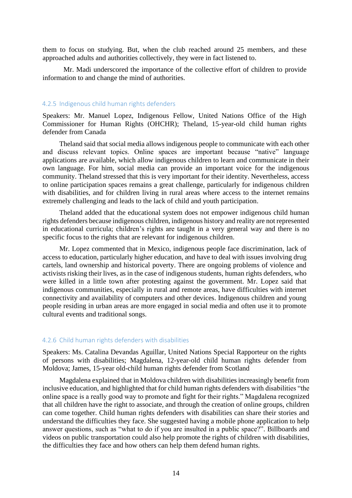them to focus on studying. But, when the club reached around 25 members, and these approached adults and authorities collectively, they were in fact listened to.

Mr. Madi underscored the importance of the collective effort of children to provide information to and change the mind of authorities.

#### <span id="page-13-0"></span>4.2.5 Indigenous child human rights defenders

Speakers: Mr. Manuel Lopez, Indigenous Fellow, United Nations Office of the High Commissioner for Human Rights (OHCHR); Theland, 15-year-old child human rights defender from Canada

Theland said that social media allows indigenous people to communicate with each other and discuss relevant topics. Online spaces are important because "native" language applications are available, which allow indigenous children to learn and communicate in their own language. For him, social media can provide an important voice for the indigenous community. Theland stressed that this is very important for their identity. Nevertheless, access to online participation spaces remains a great challenge, particularly for indigenous children with disabilities, and for children living in rural areas where access to the internet remains extremely challenging and leads to the lack of child and youth participation.

Theland added that the educational system does not empower indigenous child human rights defenders because indigenous children, indigenous history and reality are not represented in educational curricula; children's rights are taught in a very general way and there is no specific focus to the rights that are relevant for indigenous children.

Mr. Lopez commented that in Mexico, indigenous people face discrimination, lack of access to education, particularly higher education, and have to deal with issues involving drug cartels, land ownership and historical poverty. There are ongoing problems of violence and activists risking their lives, as in the case of indigenous students, human rights defenders, who were killed in a little town after protesting against the government. Mr. Lopez said that indigenous communities, especially in rural and remote areas, have difficulties with internet connectivity and availability of computers and other devices. Indigenous children and young people residing in urban areas are more engaged in social media and often use it to promote cultural events and traditional songs.

#### <span id="page-13-1"></span>4.2.6 Child human rights defenders with disabilities

Speakers: Ms. Catalina Devandas Aguillar, United Nations Special Rapporteur on the rights of persons with disabilities; Magdalena, 12-year-old child human rights defender from Moldova; James, 15-year old-child human rights defender from Scotland

Magdalena explained that in Moldova children with disabilities increasingly benefit from inclusive education, and highlighted that for child human rights defenders with disabilities "the online space is a really good way to promote and fight for their rights." Magdalena recognized that all children have the right to associate, and through the creation of online groups, children can come together. Child human rights defenders with disabilities can share their stories and understand the difficulties they face. She suggested having a mobile phone application to help answer questions, such as "what to do if you are insulted in a public space?". Billboards and videos on public transportation could also help promote the rights of children with disabilities, the difficulties they face and how others can help them defend human rights.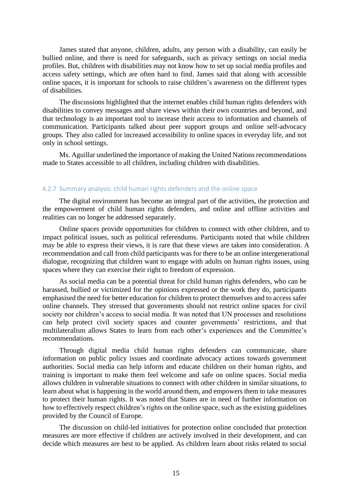James stated that anyone, children, adults, any person with a disability, can easily be bullied online, and there is need for safeguards, such as privacy settings on social media profiles. But, children with disabilities may not know how to set up social media profiles and access safety settings, which are often hard to find. James said that along with accessible online spaces, it is important for schools to raise children's awareness on the different types of disabilities.

The discussions highlighted that the internet enables child human rights defenders with disabilities to convey messages and share views within their own countries and beyond, and that technology is an important tool to increase their access to information and channels of communication. Participants talked about peer support groups and online self-advocacy groups. They also called for increased accessibility to online spaces in everyday life, and not only in school settings.

Ms. Aguillar underlined the importance of making the United Nations recommendations made to States accessible to all children, including children with disabilities.

#### <span id="page-14-0"></span>4.2.7 Summary analysis: child human rights defenders and the online space

The digital environment has become an integral part of the activities, the protection and the empowerment of child human rights defenders, and online and offline activities and realities can no longer be addressed separately.

Online spaces provide opportunities for children to connect with other children, and to impact political issues, such as political referendums. Participants noted that while children may be able to express their views, it is rare that these views are taken into consideration. A recommendation and call from child participants was for there to be an online intergenerational dialogue, recognizing that children want to engage with adults on human rights issues, using spaces where they can exercise their right to freedom of expression.

As social media can be a potential threat for child human rights defenders, who can be harassed, bullied or victimized for the opinions expressed or the work they do, participants emphasised the need for better education for children to protect themselves and to access safer online channels. They stressed that governments should not restrict online spaces for civil society nor children's access to social media. It was noted that UN processes and resolutions can help protect civil society spaces and counter governments' restrictions, and that multilateralism allows States to learn from each other's experiences and the Committee's recommendations.

Through digital media child human rights defenders can communicate, share information on public policy issues and coordinate advocacy actions towards government authorities. Social media can help inform and educate children on their human rights, and training is important to make them feel welcome and safe on online spaces. Social media allows children in vulnerable situations to connect with other children in similar situations, to learn about what is happening in the world around them, and empowers them to take measures to protect their human rights. It was noted that States are in need of further information on how to effectively respect children's rights on the online space, such as the existing guidelines provided by the Council of Europe.

The discussion on child-led initiatives for protection online concluded that protection measures are more effective if children are actively involved in their development, and can decide which measures are best to be applied. As children learn about risks related to social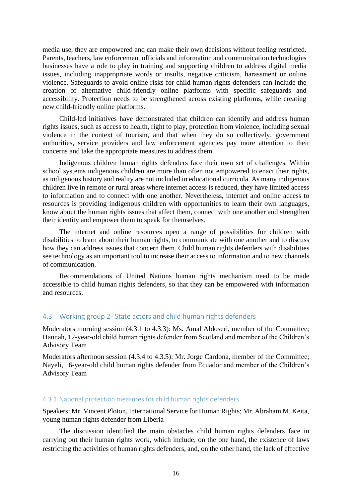media use, they are empowered and can make their own decisions without feeling restricted. Parents, teachers, law enforcement officials and information and communication technologies businesses have a role to play in training and supporting children to address digital media issues, including inappropriate words or insults, negative criticism, harassment or online violence. Safeguards to avoid online risks for child human rights defenders can include the creation of alternative child-friendly online platforms with specific safeguards and accessibility. Protection needs to be strengthened across existing platforms, while creating new child-friendly online platforms.

Child-led initiatives have demonstrated that children can identify and address human rights issues, such as access to health, right to play, protection from violence, including sexual violence in the context of tourism, and that when they do so collectively, government authorities, service providers and law enforcement agencies pay more attention to their concerns and take the appropriate measures to address them.

Indigenous children human rights defenders face their own set of challenges. Within school systems indigenous children are more than often not empowered to enact their rights, as indigenous history and reality are not included in educational curricula. As many indigenous children live in remote or rural areas where internet access is reduced, they have limited access to information and to connect with one another. Nevertheless, internet and online access to resources is providing indigenous children with opportunities to learn their own languages, know about the human rights issues that affect them, connect with one another and strengthen their identity and empower them to speak for themselves.

The internet and online resources open a range of possibilities for children with disabilities to learn about their human rights, to communicate with one another and to discuss how they can address issues that concern them. Child human rights defenders with disabilities see technology as an important tool to increase their access to information and to new channels of communication.

Recommendations of United Nations human rights mechanism need to be made accessible to child human rights defenders, so that they can be empowered with information and resources.

#### <span id="page-15-0"></span>4.3 Working group 2- State actors and child human rights defenders

Moderators morning session (4.3.1 to 4.3.3): Ms. Amal Aldoseri, member of the Committee; Hannah, 12-year-old child human rights defender from Scotland and member of the Children's Advisory Team

Moderators afternoon session (4.3.4 to 4.3.5): Mr. Jorge Cardona, member of the Committee; Nayeli, 16-year-old child human rights defender from Ecuador and member of the Children's Advisory Team

#### <span id="page-15-1"></span>4.3.1 National protection measures for child human rights defenders

Speakers: Mr. Vincent Ploton, International Service for Human Rights; Mr. Abraham M. Keita, young human rights defender from Liberia

The discussion identified the main obstacles child human rights defenders face in carrying out their human rights work, which include, on the one hand, the existence of laws restricting the activities of human rights defenders, and, on the other hand, the lack of effective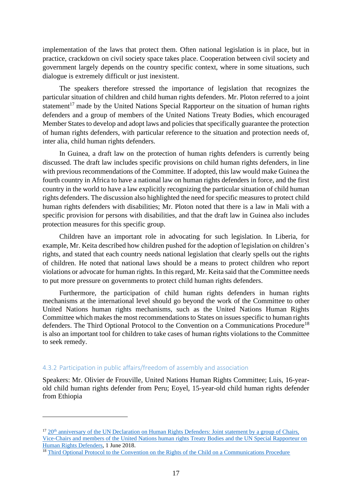implementation of the laws that protect them. Often national legislation is in place, but in practice, crackdown on civil society space takes place. Cooperation between civil society and government largely depends on the country specific context, where in some situations, such dialogue is extremely difficult or just inexistent.

The speakers therefore stressed the importance of legislation that recognizes the particular situation of children and child human rights defenders. Mr. Ploton referred to a joint statement<sup>17</sup> made by the United Nations Special Rapporteur on the situation of human rights defenders and a group of members of the United Nations Treaty Bodies, which encouraged Member States to develop and adopt laws and policies that specifically guarantee the protection of human rights defenders, with particular reference to the situation and protection needs of, inter alia, child human rights defenders.

In Guinea, a draft law on the protection of human rights defenders is currently being discussed. The draft law includes specific provisions on child human rights defenders, in line with previous recommendations of the Committee. If adopted, this law would make Guinea the fourth country in Africa to have a national law on human rights defenders in force, and the first country in the world to have a law explicitly recognizing the particular situation of child human rights defenders. The discussion also highlighted the need for specific measures to protect child human rights defenders with disabilities; Mr. Ploton noted that there is a law in Mali with a specific provision for persons with disabilities, and that the draft law in Guinea also includes protection measures for this specific group.

Children have an important role in advocating for such legislation. In Liberia, for example, Mr. Keita described how children pushed for the adoption of legislation on children's rights, and stated that each country needs national legislation that clearly spells out the rights of children. He noted that national laws should be a means to protect children who report violations or advocate for human rights. In this regard, Mr. Keita said that the Committee needs to put more pressure on governments to protect child human rights defenders.

Furthermore, the participation of child human rights defenders in human rights mechanisms at the international level should go beyond the work of the Committee to other United Nations human rights mechanisms, such as the United Nations Human Rights Committee which makes the most recommendations to States on issues specific to human rights defenders. The Third Optional Protocol to the Convention on a Communications Procedure<sup>18</sup> is also an important tool for children to take cases of human rights violations to the Committee to seek remedy.

#### <span id="page-16-0"></span>4.3.2 Participation in public affairs/freedom of assembly and association

Speakers: Mr. Olivier de Frouville, United Nations Human Rights Committee; Luis, 16-yearold child human rights defender from Peru; Eoyel, 15-year-old child human rights defender from Ethiopia

<sup>&</sup>lt;sup>17</sup> 20<sup>th</sup> anniversary of the UN Declaration on Human Rights Defenders: Joint statement by a group of Chairs, [Vice-Chairs and members of the United Nations human rights Treaty Bodies and the UN Special Rapporteur on](https://www.ohchr.org/en/NewsEvents/Pages/DisplayNews.aspx?NewsID=23173&LangID=E)  [Human Rights](https://www.ohchr.org/en/NewsEvents/Pages/DisplayNews.aspx?NewsID=23173&LangID=E) Defenders, 1 June 2018.

<sup>&</sup>lt;sup>18</sup> [Third Optional Protocol to the Convention on the Rights of the Child on a Communications Procedure](https://tbinternet.ohchr.org/_layouts/treatybodyexternal/Download.aspx?symbolno=A/RES/66/138&Lang=en)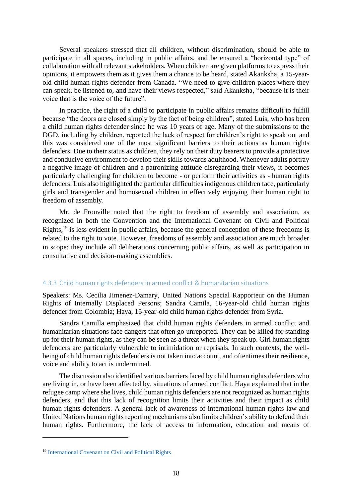Several speakers stressed that all children, without discrimination, should be able to participate in all spaces, including in public affairs, and be ensured a "horizontal type" of collaboration with all relevant stakeholders. When children are given platforms to express their opinions, it empowers them as it gives them a chance to be heard, stated Akanksha, a 15-yearold child human rights defender from Canada. "We need to give children places where they can speak, be listened to, and have their views respected," said Akanksha, "because it is their voice that is the voice of the future".

In practice, the right of a child to participate in public affairs remains difficult to fulfill because "the doors are closed simply by the fact of being children", stated Luis, who has been a child human rights defender since he was 10 years of age. Many of the submissions to the DGD, including by children, reported the lack of respect for children's right to speak out and this was considered one of the most significant barriers to their actions as human rights defenders. Due to their status as children, they rely on their duty bearers to provide a protective and conducive environment to develop their skills towards adulthood. Whenever adults portray a negative image of children and a patronizing attitude disregarding their views, it becomes particularly challenging for children to become - or perform their activities as - human rights defenders. Luis also highlighted the particular difficulties indigenous children face, particularly girls and transgender and homosexual children in effectively enjoying their human right to freedom of assembly.

Mr. de Frouville noted that the right to freedom of assembly and association, as recognized in both the Convention and the International Covenant on Civil and Political Rights,<sup>19</sup> is less evident in public affairs, because the general conception of these freedoms is related to the right to vote. However, freedoms of assembly and association are much broader in scope: they include all deliberations concerning public affairs, as well as participation in consultative and decision-making assemblies.

## <span id="page-17-0"></span>4.3.3 Child human rights defenders in armed conflict & humanitarian situations

Speakers: Ms. Cecilia Jimenez-Damary, United Nations Special Rapporteur on the Human Rights of Internally Displaced Persons; Sandra Camila, 16-year-old child human rights defender from Colombia; Haya, 15-year-old child human rights defender from Syria.

Sandra Camilla emphasized that child human rights defenders in armed conflict and humanitarian situations face dangers that often go unreported. They can be killed for standing up for their human rights, as they can be seen as a threat when they speak up. Girl human rights defenders are particularly vulnerable to intimidation or reprisals. In such contexts, the wellbeing of child human rights defenders is not taken into account, and oftentimes their resilience, voice and ability to act is undermined.

The discussion also identified various barriers faced by child human rights defenders who are living in, or have been affected by, situations of armed conflict. Haya explained that in the refugee camp where she lives, child human rights defenders are not recognized as human rights defenders, and that this lack of recognition limits their activities and their impact as child human rights defenders. A general lack of awareness of international human rights law and United Nations human rights reporting mechanisms also limits children's ability to defend their human rights. Furthermore, the lack of access to information, education and means of

<sup>19</sup> [International Covenant on Civil and Political Rights](https://www.ohchr.org/en/professionalinterest/pages/ccpr.aspx)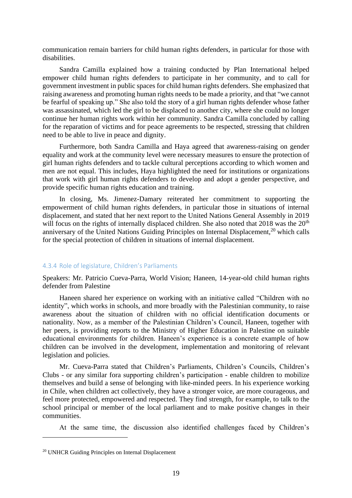communication remain barriers for child human rights defenders, in particular for those with disabilities.

Sandra Camilla explained how a training conducted by Plan International helped empower child human rights defenders to participate in her community, and to call for government investment in public spaces for child human rights defenders. She emphasized that raising awareness and promoting human rights needs to be made a priority, and that "we cannot be fearful of speaking up." She also told the story of a girl human rights defender whose father was assassinated, which led the girl to be displaced to another city, where she could no longer continue her human rights work within her community. Sandra Camilla concluded by calling for the reparation of victims and for peace agreements to be respected, stressing that children need to be able to live in peace and dignity.

Furthermore, both Sandra Camilla and Haya agreed that awareness-raising on gender equality and work at the community level were necessary measures to ensure the protection of girl human rights defenders and to tackle cultural perceptions according to which women and men are not equal. This includes, Haya highlighted the need for institutions or organizations that work with girl human rights defenders to develop and adopt a gender perspective, and provide specific human rights education and training.

In closing, Ms. Jimenez-Damary reiterated her commitment to supporting the empowerment of child human rights defenders, in particular those in situations of internal displacement, and stated that her next report to the United Nations General Assembly in 2019 will focus on the rights of internally displaced children. She also noted that 2018 was the 20<sup>th</sup> anniversary of the United Nations Guiding Principles on Internal Displacement,<sup>20</sup> which calls for the special protection of children in situations of internal displacement.

#### <span id="page-18-0"></span>4.3.4 Role of legislature, Children's Parliaments

Speakers: Mr. Patricio Cueva-Parra, World Vision; Haneen, 14-year-old child human rights defender from Palestine

Haneen shared her experience on working with an initiative called "Children with no identity", which works in schools, and more broadly with the Palestinian community, to raise awareness about the situation of children with no official identification documents or nationality. Now, as a member of the Palestinian Children's Council, Haneen, together with her peers, is providing reports to the Ministry of Higher Education in Palestine on suitable educational environments for children. Haneen's experience is a concrete example of how children can be involved in the development, implementation and monitoring of relevant legislation and policies.

Mr. Cueva-Parra stated that Children's Parliaments, Children's Councils, Children's Clubs - or any similar fora supporting children's participation - enable children to mobilize themselves and build a sense of belonging with like-minded peers. In his experience working in Chile, when children act collectively, they have a stronger voice, are more courageous, and feel more protected, empowered and respected. They find strength, for example, to talk to the school principal or member of the local parliament and to make positive changes in their communities.

At the same time, the discussion also identified challenges faced by Children's

<sup>20</sup> UNHCR Guiding Principles on Internal Displacement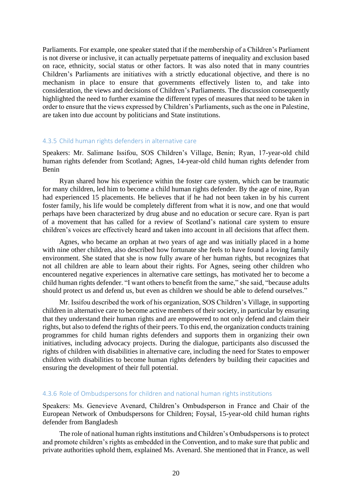Parliaments. For example, one speaker stated that if the membership of a Children's Parliament is not diverse or inclusive, it can actually perpetuate patterns of inequality and exclusion based on race, ethnicity, social status or other factors. It was also noted that in many countries Children's Parliaments are initiatives with a strictly educational objective, and there is no mechanism in place to ensure that governments effectively listen to, and take into consideration, the views and decisions of Children's Parliaments. The discussion consequently highlighted the need to further examine the different types of measures that need to be taken in order to ensure that the views expressed by Children's Parliaments, such as the one in Palestine, are taken into due account by politicians and State institutions.

#### <span id="page-19-0"></span>4.3.5 Child human rights defenders in alternative care

Speakers: Mr. Salimane Issifou, SOS Children's Village, Benin; Ryan, 17-year-old child human rights defender from Scotland; Agnes, 14-year-old child human rights defender from Benin

Ryan shared how his experience within the foster care system, which can be traumatic for many children, led him to become a child human rights defender. By the age of nine, Ryan had experienced 15 placements. He believes that if he had not been taken in by his current foster family, his life would be completely different from what it is now, and one that would perhaps have been characterized by drug abuse and no education or secure care. Ryan is part of a movement that has called for a review of Scotland's national care system to ensure children's voices are effectively heard and taken into account in all decisions that affect them.

Agnes, who became an orphan at two years of age and was initially placed in a home with nine other children, also described how fortunate she feels to have found a loving family environment. She stated that she is now fully aware of her human rights, but recognizes that not all children are able to learn about their rights. For Agnes, seeing other children who encountered negative experiences in alternative care settings, has motivated her to become a child human rights defender. "I want others to benefit from the same," she said, "because adults should protect us and defend us, but even as children we should be able to defend ourselves."

Mr. Issifou described the work of his organization, SOS Children's Village, in supporting children in alternative care to become active members of their society, in particular by ensuring that they understand their human rights and are empowered to not only defend and claim their rights, but also to defend the rights of their peers. To this end, the organization conducts training programmes for child human rights defenders and supports them in organizing their own initiatives, including advocacy projects. During the dialogue, participants also discussed the rights of children with disabilities in alternative care, including the need for States to empower children with disabilities to become human rights defenders by building their capacities and ensuring the development of their full potential.

#### <span id="page-19-1"></span>4.3.6 Role of Ombudspersons for children and national human rights institutions

Speakers: Ms. Genevieve Avenard, Children's Ombudsperson in France and Chair of the European Network of Ombudspersons for Children; Foysal, 15-year-old child human rights defender from Bangladesh

The role of national human rights institutions and Children's Ombudspersons is to protect and promote children's rights as embedded in the Convention, and to make sure that public and private authorities uphold them, explained Ms. Avenard. She mentioned that in France, as well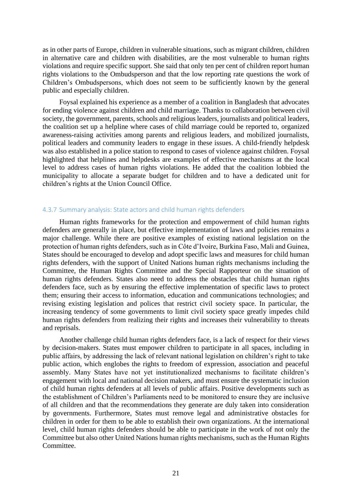as in other parts of Europe, children in vulnerable situations, such as migrant children, children in alternative care and children with disabilities, are the most vulnerable to human rights violations and require specific support. She said that only ten per cent of children report human rights violations to the Ombudsperson and that the low reporting rate questions the work of Children's Ombudspersons, which does not seem to be sufficiently known by the general public and especially children.

Foysal explained his experience as a member of a coalition in Bangladesh that advocates for ending violence against children and child marriage. Thanks to collaboration between civil society, the government, parents, schools and religious leaders, journalists and political leaders, the coalition set up a helpline where cases of child marriage could be reported to, organized awareness-raising activities among parents and religious leaders, and mobilized journalists, political leaders and community leaders to engage in these issues. A child-friendly helpdesk was also established in a police station to respond to cases of violence against children. Foysal highlighted that helplines and helpdesks are examples of effective mechanisms at the local level to address cases of human rights violations. He added that the coalition lobbied the municipality to allocate a separate budget for children and to have a dedicated unit for children's rights at the Union Council Office.

#### <span id="page-20-0"></span>4.3.7 Summary analysis: State actors and child human rights defenders

Human rights frameworks for the protection and empowerment of child human rights defenders are generally in place, but effective implementation of laws and policies remains a major challenge. While there are positive examples of existing national legislation on the protection of human rights defenders, such as in Côte d'Ivoire, Burkina Faso, Mali and Guinea, States should be encouraged to develop and adopt specific laws and measures for child human rights defenders, with the support of United Nations human rights mechanisms including the Committee, the Human Rights Committee and the Special Rapporteur on the situation of human rights defenders. States also need to address the obstacles that child human rights defenders face, such as by ensuring the effective implementation of specific laws to protect them; ensuring their access to information, education and communications technologies; and revising existing legislation and polices that restrict civil society space. In particular, the increasing tendency of some governments to limit civil society space greatly impedes child human rights defenders from realizing their rights and increases their vulnerability to threats and reprisals.

Another challenge child human rights defenders face, is a lack of respect for their views by decision-makers. States must empower children to participate in all spaces, including in public affairs, by addressing the lack of relevant national legislation on children's right to take public action, which englobes the rights to freedom of expression, association and peaceful assembly. Many States have not yet institutionalized mechanisms to facilitate children's engagement with local and national decision makers, and must ensure the systematic inclusion of child human rights defenders at all levels of public affairs. Positive developments such as the establishment of Children's Parliaments need to be monitored to ensure they are inclusive of all children and that the recommendations they generate are duly taken into consideration by governments. Furthermore, States must remove legal and administrative obstacles for children in order for them to be able to establish their own organizations. At the international level, child human rights defenders should be able to participate in the work of not only the Committee but also other United Nations human rights mechanisms, such as the Human Rights Committee.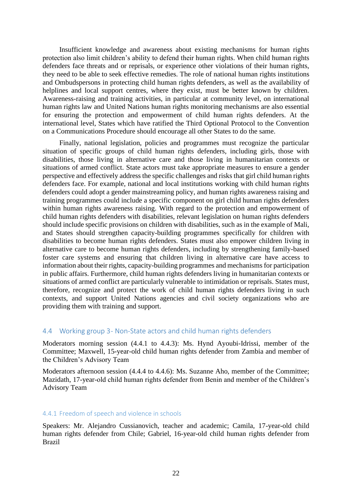Insufficient knowledge and awareness about existing mechanisms for human rights protection also limit children's ability to defend their human rights. When child human rights defenders face threats and or reprisals, or experience other violations of their human rights, they need to be able to seek effective remedies. The role of national human rights institutions and Ombudspersons in protecting child human rights defenders, as well as the availability of helplines and local support centres, where they exist, must be better known by children. Awareness-raising and training activities, in particular at community level, on international human rights law and United Nations human rights monitoring mechanisms are also essential for ensuring the protection and empowerment of child human rights defenders. At the international level, States which have ratified the Third Optional Protocol to the Convention on a Communications Procedure should encourage all other States to do the same.

Finally, national legislation, policies and programmes must recognize the particular situation of specific groups of child human rights defenders, including girls, those with disabilities, those living in alternative care and those living in humanitarian contexts or situations of armed conflict. State actors must take appropriate measures to ensure a gender perspective and effectively address the specific challenges and risks that girl child human rights defenders face. For example, national and local institutions working with child human rights defenders could adopt a gender mainstreaming policy, and human rights awareness raising and training programmes could include a specific component on girl child human rights defenders within human rights awareness raising. With regard to the protection and empowerment of child human rights defenders with disabilities, relevant legislation on human rights defenders should include specific provisions on children with disabilities, such as in the example of Mali, and States should strengthen capacity-building programmes specifically for children with disabilities to become human rights defenders. States must also empower children living in alternative care to become human rights defenders, including by strengthening family-based foster care systems and ensuring that children living in alternative care have access to information about their rights, capacity-building programmes and mechanisms for participation in public affairs. Furthermore, child human rights defenders living in humanitarian contexts or situations of armed conflict are particularly vulnerable to intimidation or reprisals. States must, therefore, recognize and protect the work of child human rights defenders living in such contexts, and support United Nations agencies and civil society organizations who are providing them with training and support.

#### <span id="page-21-0"></span>4.4 Working group 3- Non-State actors and child human rights defenders

Moderators morning session (4.4.1 to 4.4.3): Ms. Hynd Ayoubi-Idrissi, member of the Committee; Maxwell, 15-year-old child human rights defender from Zambia and member of the Children's Advisory Team

Moderators afternoon session (4.4.4 to 4.4.6): Ms. Suzanne Aho, member of the Committee; Mazidath, 17-year-old child human rights defender from Benin and member of the Children's Advisory Team

#### <span id="page-21-1"></span>4.4.1 Freedom of speech and violence in schools

Speakers: Mr. Alejandro Cussianovich, teacher and academic; Camila, 17-year-old child human rights defender from Chile; Gabriel, 16-year-old child human rights defender from Brazil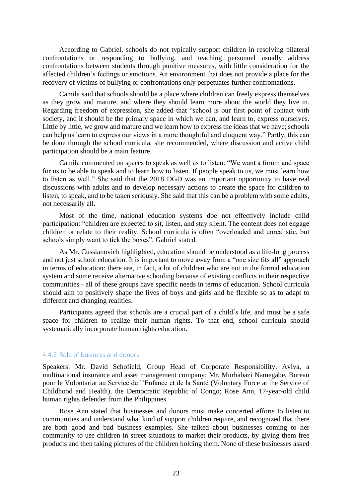According to Gabriel, schools do not typically support children in resolving bilateral confrontations or responding to bullying, and teaching personnel usually address confrontations between students through punitive measures, with little consideration for the affected children's feelings or emotions. An environment that does not provide a place for the recovery of victims of bullying or confrontations only perpetuates further confrontations.

Camila said that schools should be a place where children can freely express themselves as they grow and mature, and where they should learn more about the world they live in. Regarding freedom of expression, she added that "school is our first point of contact with society, and it should be the primary space in which we can, and learn to, express ourselves. Little by little, we grow and mature and we learn how to express the ideas that we have; schools can help us learn to express our views in a more thoughtful and eloquent way." Partly, this can be done through the school curricula, she recommended, where discussion and active child participation should be a main feature.

Camila commented on spaces to speak as well as to listen: "We want a forum and space for us to be able to speak and to learn how to listen. If people speak to us, we must learn how to listen as well." She said that the 2018 DGD was an important opportunity to have real discussions with adults and to develop necessary actions to create the space for children to listen, to speak, and to be taken seriously. She said that this can be a problem with some adults, not necessarily all.

Most of the time, national education systems doe not effectively include child participation: "children are expected to sit, listen, and stay silent. The content does not engage children or relate to their reality. School curricula is often "overloaded and unrealistic, but schools simply want to tick the boxes", Gabriel stated.

As Mr. Cussianovich highlighted, education should be understood as a life-long process and not just school education. It is important to move away from a "one size fits all" approach in terms of education: there are, in fact, a lot of children who are not in the formal education system and some receive alternative schooling because of existing conflicts in their respective communities - all of these groups have specific needs in terms of education. School curricula should aim to positively shape the lives of boys and girls and be flexible so as to adapt to different and changing realities.

Participants agreed that schools are a crucial part of a child's life, and must be a safe space for children to realize their human rights. To that end, school curricula should systematically incorporate human rights education.

#### <span id="page-22-0"></span>4.4.2 Role of business and donors

Speakers: Mr. David Schofield, Group Head of Corporate Responsibility, Aviva, a multinational insurance and asset management company; Mr. Murhabazi Namegabe, Bureau pour le Volontariat au Service de l'Enfance et de la Santé (Voluntary Force at the Service of Childhood and Health), the Democratic Republic of Congo; Rose Ann, 17-year-old child human rights defender from the Philippines

Rose Ann stated that businesses and donors must make concerted efforts to listen to communities and understand what kind of support children require, and recognized that there are both good and bad business examples. She talked about businesses coming to her community to use children in street situations to market their products, by giving them free products and then taking pictures of the children holding them. None of these businesses asked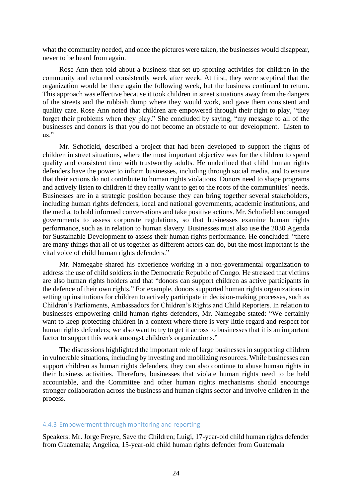what the community needed, and once the pictures were taken, the businesses would disappear, never to be heard from again.

Rose Ann then told about a business that set up sporting activities for children in the community and returned consistently week after week. At first, they were sceptical that the organization would be there again the following week, but the business continued to return. This approach was effective because it took children in street situations away from the dangers of the streets and the rubbish dump where they would work, and gave them consistent and quality care. Rose Ann noted that children are empowered through their right to play, "they forget their problems when they play." She concluded by saying, "my message to all of the businesses and donors is that you do not become an obstacle to our development. Listen to  $_{\rm 11S}$  "

Mr. Schofield, described a project that had been developed to support the rights of children in street situations, where the most important objective was for the children to spend quality and consistent time with trustworthy adults. He underlined that child human rights defenders have the power to inform businesses, including through social media, and to ensure that their actions do not contribute to human rights violations. Donors need to shape programs and actively listen to children if they really want to get to the roots of the communities´ needs. Businesses are in a strategic position because they can bring together several stakeholders, including human rights defenders, local and national governments, academic institutions, and the media, to hold informed conversations and take positive actions. Mr. Schofield encouraged governments to assess corporate regulations, so that businesses examine human rights performance, such as in relation to human slavery. Businesses must also use the 2030 Agenda for Sustainable Development to assess their human rights performance. He concluded: "there are many things that all of us together as different actors can do, but the most important is the vital voice of child human rights defenders."

Mr. Namegabe shared his experience working in a non-governmental organization to address the use of child soldiers in the Democratic Republic of Congo. He stressed that victims are also human rights holders and that "donors can support children as active participants in the defence of their own rights." For example, donors supported human rights organizations in setting up institutions for children to actively participate in decision-making processes, such as Children's Parliaments, Ambassadors for Children's Rights and Child Reporters. In relation to businesses empowering child human rights defenders, Mr. Namegabe stated: "We certainly want to keep protecting children in a context where there is very little regard and respect for human rights defenders; we also want to try to get it across to businesses that it is an important factor to support this work amongst children's organizations."

The discussions highlighted the important role of large businesses in supporting children in vulnerable situations, including by investing and mobilizing resources. While businesses can support children as human rights defenders, they can also continue to abuse human rights in their business activities. Therefore, businesses that violate human rights need to be held accountable, and the Committee and other human rights mechanisms should encourage stronger collaboration across the business and human rights sector and involve children in the process.

#### <span id="page-23-0"></span>4.4.3 Empowerment through monitoring and reporting

Speakers: Mr. Jorge Freyre, Save the Children; Luigi, 17-year-old child human rights defender from Guatemala; Angelica, 15-year-old child human rights defender from Guatemala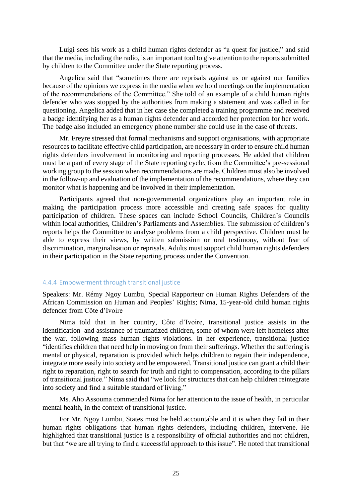Luigi sees his work as a child human rights defender as "a quest for justice," and said that the media, including the radio, is an important tool to give attention to the reports submitted by children to the Committee under the State reporting process.

Angelica said that "sometimes there are reprisals against us or against our families because of the opinions we express in the media when we hold meetings on the implementation of the recommendations of the Committee." She told of an example of a child human rights defender who was stopped by the authorities from making a statement and was called in for questioning. Angelica added that in her case she completed a training programme and received a badge identifying her as a human rights defender and accorded her protection for her work. The badge also included an emergency phone number she could use in the case of threats.

Mr. Freyre stressed that formal mechanisms and support organisations, with appropriate resources to facilitate effective child participation, are necessary in order to ensure child human rights defenders involvement in monitoring and reporting processes. He added that children must be a part of every stage of the State reporting cycle, from the Committee's pre-sessional working group to the session when recommendations are made. Children must also be involved in the follow-up and evaluation of the implementation of the recommendations, where they can monitor what is happening and be involved in their implementation.

Participants agreed that non-governmental organizations play an important role in making the participation process more accessible and creating safe spaces for quality participation of children. These spaces can include School Councils, Children's Councils within local authorities, Children's Parliaments and Assemblies. The submission of children's reports helps the Committee to analyse problems from a child perspective. Children must be able to express their views, by written submission or oral testimony, without fear of discrimination, marginalisation or reprisals. Adults must support child human rights defenders in their participation in the State reporting process under the Convention.

#### <span id="page-24-0"></span>4.4.4 Empowerment through transitional justice

Speakers: Mr. Rémy Ngoy Lumbu, Special Rapporteur on Human Rights Defenders of the African Commission on Human and Peoples' Rights; Nima, 15-year-old child human rights defender from Côte d'Ivoire

Nima told that in her country, Côte d'Ivoire, transitional justice assists in the identification and assistance of traumatized children, some of whom were left homeless after the war, following mass human rights violations. In her experience, transitional justice "identifies children that need help in moving on from their sufferings. Whether the suffering is mental or physical, reparation is provided which helps children to regain their independence, integrate more easily into society and be empowered. Transitional justice can grant a child their right to reparation, right to search for truth and right to compensation, according to the pillars of transitional justice." Nima said that "we look for structures that can help children reintegrate into society and find a suitable standard of living."

Ms. Aho Assouma commended Nima for her attention to the issue of health, in particular mental health, in the context of transitional justice.

For Mr. Ngoy Lumbu, States must be held accountable and it is when they fail in their human rights obligations that human rights defenders, including children, intervene. He highlighted that transitional justice is a responsibility of official authorities and not children, but that "we are all trying to find a successful approach to this issue". He noted that transitional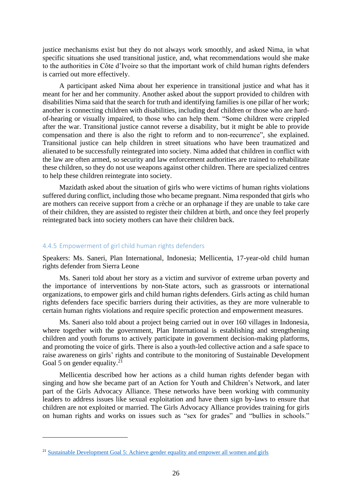justice mechanisms exist but they do not always work smoothly, and asked Nima, in what specific situations she used transitional justice, and, what recommendations would she make to the authorities in Côte d'Ivoire so that the important work of child human rights defenders is carried out more effectively.

A participant asked Nima about her experience in transitional justice and what has it meant for her and her community. Another asked about the support provided to children with disabilities Nima said that the search for truth and identifying families is one pillar of her work; another is connecting children with disabilities, including deaf children or those who are hardof-hearing or visually impaired, to those who can help them. "Some children were crippled after the war. Transitional justice cannot reverse a disability, but it might be able to provide compensation and there is also the right to reform and to non-recurrence", she explained. Transitional justice can help children in street situations who have been traumatized and alienated to be successfully reintegrated into society. Nima added that children in conflict with the law are often armed, so security and law enforcement authorities are trained to rehabilitate these children, so they do not use weapons against other children. There are specialized centres to help these children reintegrate into society.

Mazidath asked about the situation of girls who were victims of human rights violations suffered during conflict, including those who became pregnant. Nima responded that girls who are mothers can receive support from a crèche or an orphanage if they are unable to take care of their children, they are assisted to register their children at birth, and once they feel properly reintegrated back into society mothers can have their children back.

#### <span id="page-25-0"></span>4.4.5 Empowerment of girl child human rights defenders

Speakers: Ms. Saneri, Plan International, Indonesia; Mellicentia, 17-year-old child human rights defender from Sierra Leone

Ms. Saneri told about her story as a victim and survivor of extreme urban poverty and the importance of interventions by non-State actors, such as grassroots or international organizations, to empower girls and child human rights defenders. Girls acting as child human rights defenders face specific barriers during their activities, as they are more vulnerable to certain human rights violations and require specific protection and empowerment measures.

Ms. Saneri also told about a project being carried out in over 160 villages in Indonesia, where together with the government, Plan International is establishing and strengthening children and youth forums to actively participate in government decision-making platforms, and promoting the voice of girls. There is also a youth-led collective action and a safe space to raise awareness on girls' rights and contribute to the monitoring of Sustainable Development Goal 5 on gender equality. $21$ 

Mellicentia described how her actions as a child human rights defender began with singing and how she became part of an Action for Youth and Children's Network, and later part of the Girls Advocacy Alliance. These networks have been working with community leaders to address issues like sexual exploitation and have them sign by-laws to ensure that children are not exploited or married. The Girls Advocacy Alliance provides training for girls on human rights and works on issues such as "sex for grades" and "bullies in schools."

<sup>21</sup> [Sustainable Development Goal 5: Achieve gender equality and empower all women and girls](https://sustainabledevelopment.un.org/sdg5)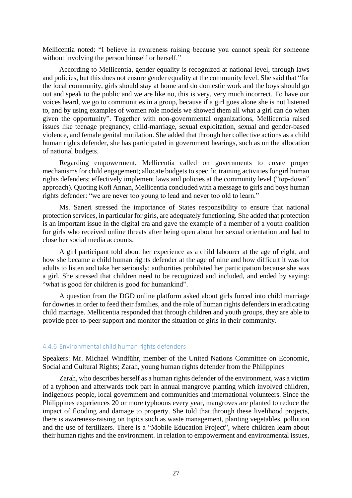Mellicentia noted: "I believe in awareness raising because you cannot speak for someone without involving the person himself or herself."

According to Mellicentia, gender equality is recognized at national level, through laws and policies, but this does not ensure gender equality at the community level. She said that "for the local community, girls should stay at home and do domestic work and the boys should go out and speak to the public and we are like no, this is very, very much incorrect. To have our voices heard, we go to communities in a group, because if a girl goes alone she is not listened to, and by using examples of women role models we showed them all what a girl can do when given the opportunity". Together with non-governmental organizations, Mellicentia raised issues like teenage pregnancy, child-marriage, sexual exploitation, sexual and gender-based violence, and female genital mutilation. She added that through her collective actions as a child human rights defender, she has participated in government hearings, such as on the allocation of national budgets.

Regarding empowerment, Mellicentia called on governments to create proper mechanisms for child engagement; allocate budgets to specific training activities for girl human rights defenders; effectively implement laws and policies at the community level ("top-down" approach). Quoting Kofi Annan, Mellicentia concluded with a message to girls and boys human rights defender: "we are never too young to lead and never too old to learn."

Ms. Saneri stressed the importance of States responsibility to ensure that national protection services, in particular for girls, are adequately functioning. She added that protection is an important issue in the digital era and gave the example of a member of a youth coalition for girls who received online threats after being open about her sexual orientation and had to close her social media accounts.

A girl participant told about her experience as a child labourer at the age of eight, and how she became a child human rights defender at the age of nine and how difficult it was for adults to listen and take her seriously; authorities prohibited her participation because she was a girl. She stressed that children need to be recognized and included, and ended by saying: "what is good for children is good for humankind".

A question from the DGD online platform asked about girls forced into child marriage for dowries in order to feed their families, and the role of human rights defenders in eradicating child marriage. Mellicentia responded that through children and youth groups, they are able to provide peer-to-peer support and monitor the situation of girls in their community.

#### <span id="page-26-0"></span>4.4.6 Environmental child human rights defenders

Speakers: Mr. Michael Windführ, member of the United Nations Committee on Economic, Social and Cultural Rights; Zarah, young human rights defender from the Philippines

Zarah, who describes herself as a human rights defender of the environment, was a victim of a typhoon and afterwards took part in annual mangrove planting which involved children, indigenous people, local government and communities and international volunteers. Since the Philippines experiences 20 or more typhoons every year, mangroves are planted to reduce the impact of flooding and damage to property. She told that through these livelihood projects, there is awareness-raising on topics such as waste management, planting vegetables, pollution and the use of fertilizers. There is a "Mobile Education Project", where children learn about their human rights and the environment. In relation to empowerment and environmental issues,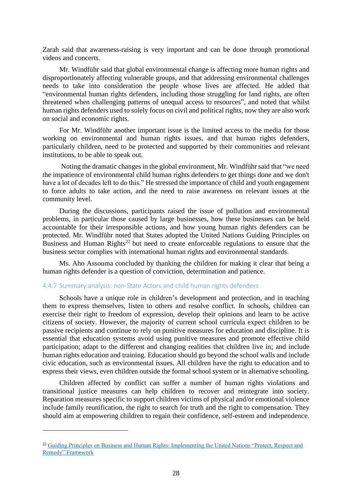Zarah said that awareness-raising is very important and can be done through promotional videos and concerts.

Mr. Windführ said that global environmental change is affecting more human rights and disproportionately affecting vulnerable groups, and that addressing environmental challenges needs to take into consideration the people whose lives are affected. He added that "environmental human rights defenders, including those struggling for land rights, are often threatened when challenging patterns of unequal access to resources", and noted that whilst human rights defenders used to solely focus on civil and political rights, now they are also work on social and economic rights.

For Mr. Windführ another important issue is the limited access to the media for those working on environmental and human rights issues, and that human rights defenders, particularly children, need to be protected and supported by their communities and relevant institutions, to be able to speak out.

Noting the dramatic changes in the global environment, Mr. Windführ said that "we need the impatience of environmental child human rights defenders to get things done and we don't have a lot of decades left to do this." He stressed the importance of child and youth engagement to force adults to take action, and the need to raise awareness on relevant issues at the community level.

During the discussions, participants raised the issue of pollution and environmental problems, in particular those caused by large businesses, how these businesses can be held accountable for their irresponsible actions, and how young human rights defenders can be protected. Mr. Windführ noted that States adopted the United Nations Guiding Principles on Business and Human Rights<sup>22</sup> but need to create enforceable regulations to ensure that the business sector complies with international human rights and environmental standards.

Ms. Aho Assouma concluded by thanking the children for making it clear that being a human rights defender is a question of conviction, determination and patience.

#### <span id="page-27-0"></span>4.4.7 Summary analysis: non-State Actors and child human rights defenders

Schools have a unique role in children's development and protection, and in teaching them to express themselves, listen to others and resolve conflict. In schools, children can exercise their right to freedom of expression, develop their opinions and learn to be active citizens of society. However, the majority of current school curricula expect children to be passive recipients and continue to rely on punitive measures for education and discipline. It is essential that education systems avoid using punitive measures and promote effective child participation; adapt to the different and changing realities that children live in; and include human rights education and training. Education should go beyond the school walls and include civic education, such as environmental issues. All children have the right to education and to express their views, even children outside the formal school system or in alternative schooling.

Children affected by conflict can suffer a number of human rights violations and transitional justice measures can help children to recover and reintegrate into society. Reparation measures specific to support children victims of physical and/or emotional violence include family reunification, the right to search for truth and the right to compensation. They should aim at empowering children to regain their confidence, self-esteem and independence.

<sup>&</sup>lt;sup>22</sup> Guiding Principles on Business and Human Rights: Implementing the United Nations "Protect, Respect and [Remedy" Framework](https://www.ohchr.org/documents/publications/GuidingprinciplesBusinesshr_eN.pdf)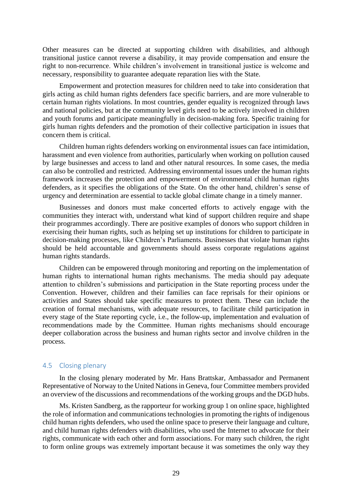Other measures can be directed at supporting children with disabilities, and although transitional justice cannot reverse a disability, it may provide compensation and ensure the right to non-recurrence. While children's involvement in transitional justice is welcome and necessary, responsibility to guarantee adequate reparation lies with the State.

Empowerment and protection measures for children need to take into consideration that girls acting as child human rights defenders face specific barriers, and are more vulnerable to certain human rights violations. In most countries, gender equality is recognized through laws and national policies, but at the community level girls need to be actively involved in children and youth forums and participate meaningfully in decision-making fora. Specific training for girls human rights defenders and the promotion of their collective participation in issues that concern them is critical.

Children human rights defenders working on environmental issues can face intimidation, harassment and even violence from authorities, particularly when working on pollution caused by large businesses and access to land and other natural resources. In some cases, the media can also be controlled and restricted. Addressing environmental issues under the human rights framework increases the protection and empowerment of environmental child human rights defenders, as it specifies the obligations of the State. On the other hand, children's sense of urgency and determination are essential to tackle global climate change in a timely manner.

Businesses and donors must make concerted efforts to actively engage with the communities they interact with, understand what kind of support children require and shape their programmes accordingly. There are positive examples of donors who support children in exercising their human rights, such as helping set up institutions for children to participate in decision-making processes, like Children's Parliaments. Businesses that violate human rights should be held accountable and governments should assess corporate regulations against human rights standards.

Children can be empowered through monitoring and reporting on the implementation of human rights to international human rights mechanisms. The media should pay adequate attention to children's submissions and participation in the State reporting process under the Convention. However, children and their families can face reprisals for their opinions or activities and States should take specific measures to protect them. These can include the creation of formal mechanisms, with adequate resources, to facilitate child participation in every stage of the State reporting cycle, i.e., the follow-up, implementation and evaluation of recommendations made by the Committee. Human rights mechanisms should encourage deeper collaboration across the business and human rights sector and involve children in the process.

### <span id="page-28-0"></span>4.5 Closing plenary

In the closing plenary moderated by Mr. Hans Brattskar, Ambassador and Permanent Representative of Norway to the United Nations in Geneva, four Committee members provided an overview of the discussions and recommendations of the working groups and the DGD hubs.

Ms. Kristen Sandberg, as the rapporteur for working group 1 on online space, highlighted the role of information and communications technologies in promoting the rights of indigenous child human rights defenders, who used the online space to preserve their language and culture, and child human rights defenders with disabilities, who used the Internet to advocate for their rights, communicate with each other and form associations. For many such children, the right to form online groups was extremely important because it was sometimes the only way they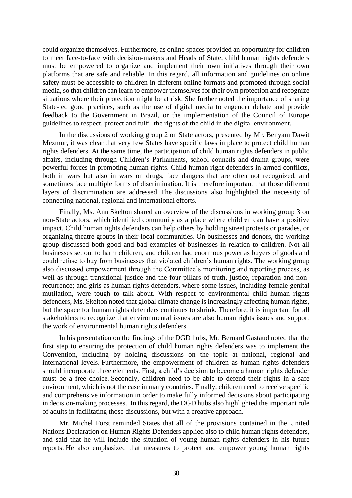could organize themselves. Furthermore, as online spaces provided an opportunity for children to meet face-to-face with decision-makers and Heads of State, child human rights defenders must be empowered to organize and implement their own initiatives through their own platforms that are safe and reliable. In this regard, all information and guidelines on online safety must be accessible to children in different online formats and promoted through social media, so that children can learn to empower themselves for their own protection and recognize situations where their protection might be at risk. She further noted the importance of sharing State-led good practices, such as the use of digital media to engender debate and provide feedback to the Government in Brazil, or the implementation of the Council of Europe guidelines to respect, protect and fulfil the rights of the child in the digital environment.

In the discussions of working group 2 on State actors, presented by Mr. Benyam Dawit Mezmur, it was clear that very few States have specific laws in place to protect child human rights defenders. At the same time, the participation of child human rights defenders in public affairs, including through Children's Parliaments, school councils and drama groups, were powerful forces in promoting human rights. Child human right defenders in armed conflicts, both in wars but also in wars on drugs, face dangers that are often not recognized, and sometimes face multiple forms of discrimination. It is therefore important that those different layers of discrimination are addressed. The discussions also highlighted the necessity of connecting national, regional and international efforts.

Finally, Ms. Ann Skelton shared an overview of the discussions in working group 3 on non-State actors, which identified community as a place where children can have a positive impact. Child human rights defenders can help others by holding street protests or parades, or organizing theatre groups in their local communities. On businesses and donors, the working group discussed both good and bad examples of businesses in relation to children. Not all businesses set out to harm children, and children had enormous power as buyers of goods and could refuse to buy from businesses that violated children's human rights. The working group also discussed empowerment through the Committee's monitoring and reporting process, as well as through transitional justice and the four pillars of truth, justice, reparation and nonrecurrence; and girls as human rights defenders, where some issues, including female genital mutilation, were tough to talk about. With respect to environmental child human rights defenders, Ms. Skelton noted that global climate change is increasingly affecting human rights, but the space for human rights defenders continues to shrink. Therefore, it is important for all stakeholders to recognize that environmental issues are also human rights issues and support the work of environmental human rights defenders.

In his presentation on the findings of the DGD hubs, Mr. Bernard Gastaud noted that the first step to ensuring the protection of child human rights defenders was to implement the Convention, including by holding discussions on the topic at national, regional and international levels. Furthermore, the empowerment of children as human rights defenders should incorporate three elements. First, a child's decision to become a human rights defender must be a free choice. Secondly, children need to be able to defend their rights in a safe environment, which is not the case in many countries. Finally, children need to receive specific and comprehensive information in order to make fully informed decisions about participating in decision-making processes. In this regard, the DGD hubs also highlighted the important role of adults in facilitating those discussions, but with a creative approach.

Mr. Michel Forst reminded States that all of the provisions contained in the United Nations Declaration on Human Rights Defenders applied also to child human rights defenders, and said that he will include the situation of young human rights defenders in his future reports. He also emphasized that measures to protect and empower young human rights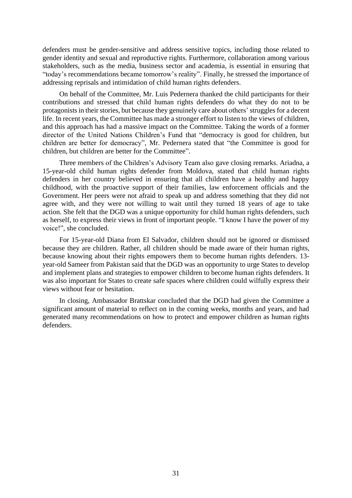defenders must be gender-sensitive and address sensitive topics, including those related to gender identity and sexual and reproductive rights. Furthermore, collaboration among various stakeholders, such as the media, business sector and academia, is essential in ensuring that "today's recommendations became tomorrow's reality". Finally, he stressed the importance of addressing reprisals and intimidation of child human rights defenders.

On behalf of the Committee, Mr. Luis Pedernera thanked the child participants for their contributions and stressed that child human rights defenders do what they do not to be protagonists in their stories, but because they genuinely care about others' struggles for a decent life. In recent years, the Committee has made a stronger effort to listen to the views of children, and this approach has had a massive impact on the Committee. Taking the words of a former director of the United Nations Children's Fund that "democracy is good for children, but children are better for democracy", Mr. Pedernera stated that "the Committee is good for children, but children are better for the Committee".

Three members of the Children's Advisory Team also gave closing remarks. Ariadna, a 15-year-old child human rights defender from Moldova, stated that child human rights defenders in her country believed in ensuring that all children have a healthy and happy childhood, with the proactive support of their families, law enforcement officials and the Government. Her peers were not afraid to speak up and address something that they did not agree with, and they were not willing to wait until they turned 18 years of age to take action. She felt that the DGD was a unique opportunity for child human rights defenders, such as herself, to express their views in front of important people. "I know I have the power of my voice!", she concluded.

For 15-year-old Diana from El Salvador, children should not be ignored or dismissed because they are children. Rather, all children should be made aware of their human rights, because knowing about their rights empowers them to become human rights defenders. 13 year-old Sameer from Pakistan said that the DGD was an opportunity to urge States to develop and implement plans and strategies to empower children to become human rights defenders. It was also important for States to create safe spaces where children could wilfully express their views without fear or hesitation.

In closing, Ambassador Brattskar concluded that the DGD had given the Committee a significant amount of material to reflect on in the coming weeks, months and years, and had generated many recommendations on how to protect and empower children as human rights defenders.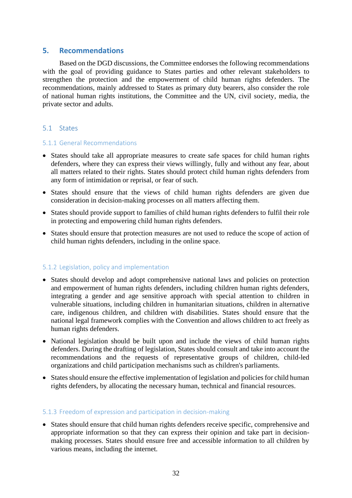## <span id="page-31-0"></span>**5. Recommendations**

Based on the DGD discussions, the Committee endorses the following recommendations with the goal of providing guidance to States parties and other relevant stakeholders to strengthen the protection and the empowerment of child human rights defenders. The recommendations, mainly addressed to States as primary duty bearers, also consider the role of national human rights institutions, the Committee and the UN, civil society, media, the private sector and adults.

## <span id="page-31-1"></span>5.1 States

#### <span id="page-31-2"></span>5.1.1 General Recommendations

- States should take all appropriate measures to create safe spaces for child human rights defenders, where they can express their views willingly, fully and without any fear, about all matters related to their rights. States should protect child human rights defenders from any form of intimidation or reprisal, or fear of such.
- States should ensure that the views of child human rights defenders are given due consideration in decision-making processes on all matters affecting them.
- States should provide support to families of child human rights defenders to fulfil their role in protecting and empowering child human rights defenders.
- States should ensure that protection measures are not used to reduce the scope of action of child human rights defenders, including in the online space.

## <span id="page-31-3"></span>5.1.2 Legislation, policy and implementation

- States should develop and adopt comprehensive national laws and policies on protection and empowerment of human rights defenders, including children human rights defenders, integrating a gender and age sensitive approach with special attention to children in vulnerable situations, including children in humanitarian situations, children in alternative care, indigenous children, and children with disabilities. States should ensure that the national legal framework complies with the Convention and allows children to act freely as human rights defenders.
- National legislation should be built upon and include the views of child human rights defenders. During the drafting of legislation, States should consult and take into account the recommendations and the requests of representative groups of children, child-led organizations and child participation mechanisms such as children's parliaments.
- States should ensure the effective implementation of legislation and policies for child human rights defenders, by allocating the necessary human, technical and financial resources.

#### <span id="page-31-4"></span>5.1.3 Freedom of expression and participation in decision-making

• States should ensure that child human rights defenders receive specific, comprehensive and appropriate information so that they can express their opinion and take part in decisionmaking processes. States should ensure free and accessible information to all children by various means, including the internet.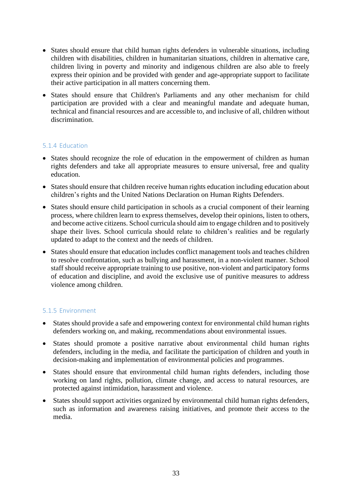- States should ensure that child human rights defenders in vulnerable situations, including children with disabilities, children in humanitarian situations, children in alternative care, children living in poverty and minority and indigenous children are also able to freely express their opinion and be provided with gender and age-appropriate support to facilitate their active participation in all matters concerning them.
- States should ensure that Children's Parliaments and any other mechanism for child participation are provided with a clear and meaningful mandate and adequate human, technical and financial resources and are accessible to, and inclusive of all, children without discrimination.

## <span id="page-32-0"></span>5.1.4 Education

- States should recognize the role of education in the empowerment of children as human rights defenders and take all appropriate measures to ensure universal, free and quality education.
- States should ensure that children receive human rights education including education about children's rights and the United Nations Declaration on Human Rights Defenders.
- States should ensure child participation in schools as a crucial component of their learning process, where children learn to express themselves, develop their opinions, listen to others, and become active citizens. School curricula should aim to engage children and to positively shape their lives. School curricula should relate to children's realities and be regularly updated to adapt to the context and the needs of children.
- States should ensure that education includes conflict management tools and teaches children to resolve confrontation, such as bullying and harassment, in a non-violent manner. School staff should receive appropriate training to use positive, non-violent and participatory forms of education and discipline, and avoid the exclusive use of punitive measures to address violence among children.

## <span id="page-32-1"></span>5.1.5 Environment

- States should provide a safe and empowering context for environmental child human rights defenders working on, and making, recommendations about environmental issues.
- States should promote a positive narrative about environmental child human rights defenders, including in the media, and facilitate the participation of children and youth in decision-making and implementation of environmental policies and programmes.
- States should ensure that environmental child human rights defenders, including those working on land rights, pollution, climate change, and access to natural resources, are protected against intimidation, harassment and violence.
- States should support activities organized by environmental child human rights defenders, such as information and awareness raising initiatives, and promote their access to the media.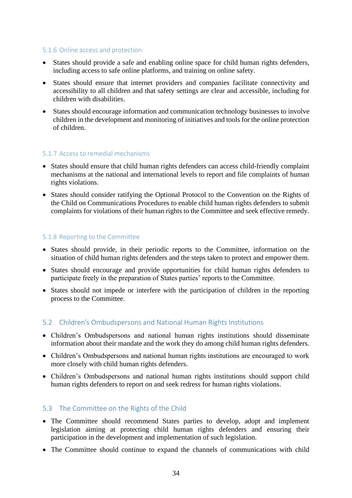#### <span id="page-33-0"></span>5.1.6 Online access and protection

- States should provide a safe and enabling online space for child human rights defenders, including access to safe online platforms, and training on online safety.
- States should ensure that internet providers and companies facilitate connectivity and accessibility to all children and that safety settings are clear and accessible, including for children with disabilities.
- States should encourage information and communication technology businesses to involve children in the development and monitoring of initiatives and tools for the online protection of children.

#### <span id="page-33-1"></span>5.1.7 Access to remedial mechanisms

- States should ensure that child human rights defenders can access child-friendly complaint mechanisms at the national and international levels to report and file complaints of human rights violations.
- States should consider ratifying the Optional Protocol to the Convention on the Rights of the Child on Communications Procedures to enable child human rights defenders to submit complaints for violations of their human rights to the Committee and seek effective remedy.

#### <span id="page-33-2"></span>5.1.8 Reporting to the Committee

- States should provide, in their periodic reports to the Committee, information on the situation of child human rights defenders and the steps taken to protect and empower them.
- States should encourage and provide opportunities for child human rights defenders to participate freely in the preparation of States parties' reports to the Committee.
- States should not impede or interfere with the participation of children in the reporting process to the Committee.

#### <span id="page-33-3"></span>5.2 Children's Ombudspersons and National Human Rights Institutions

- Children's Ombudspersons and national human rights institutions should disseminate information about their mandate and the work they do among child human rights defenders.
- Children's Ombudspersons and national human rights institutions are encouraged to work more closely with child human rights defenders.
- Children's Ombudspersons and national human rights institutions should support child human rights defenders to report on and seek redress for human rights violations.

#### <span id="page-33-4"></span>5.3 The Committee on the Rights of the Child

- The Committee should recommend States parties to develop, adopt and implement legislation aiming at protecting child human rights defenders and ensuring their participation in the development and implementation of such legislation.
- The Committee should continue to expand the channels of communications with child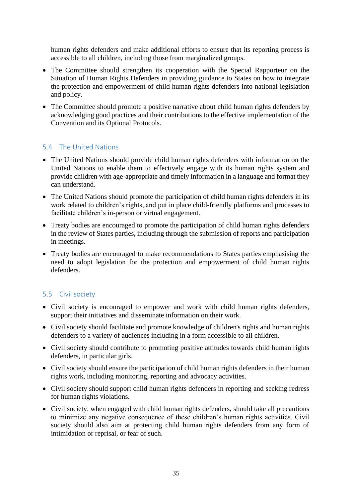human rights defenders and make additional efforts to ensure that its reporting process is accessible to all children, including those from marginalized groups.

- The Committee should strengthen its cooperation with the Special Rapporteur on the Situation of Human Rights Defenders in providing guidance to States on how to integrate the protection and empowerment of child human rights defenders into national legislation and policy.
- The Committee should promote a positive narrative about child human rights defenders by acknowledging good practices and their contributions to the effective implementation of the Convention and its Optional Protocols.

## <span id="page-34-0"></span>5.4 The United Nations

- The United Nations should provide child human rights defenders with information on the United Nations to enable them to effectively engage with its human rights system and provide children with age-appropriate and timely information in a language and format they can understand.
- The United Nations should promote the participation of child human rights defenders in its work related to children's rights, and put in place child-friendly platforms and processes to facilitate children's in-person or virtual engagement.
- Treaty bodies are encouraged to promote the participation of child human rights defenders in the review of States parties, including through the submission of reports and participation in meetings.
- Treaty bodies are encouraged to make recommendations to States parties emphasising the need to adopt legislation for the protection and empowerment of child human rights defenders.

## <span id="page-34-1"></span>5.5 Civil society

- Civil society is encouraged to empower and work with child human rights defenders, support their initiatives and disseminate information on their work.
- Civil society should facilitate and promote knowledge of children's rights and human rights defenders to a variety of audiences including in a form accessible to all children.
- Civil society should contribute to promoting positive attitudes towards child human rights defenders, in particular girls.
- Civil society should ensure the participation of child human rights defenders in their human rights work, including monitoring, reporting and advocacy activities.
- Civil society should support child human rights defenders in reporting and seeking redress for human rights violations.
- Civil society, when engaged with child human rights defenders, should take all precautions to minimize any negative consequence of these children's human rights activities. Civil society should also aim at protecting child human rights defenders from any form of intimidation or reprisal, or fear of such.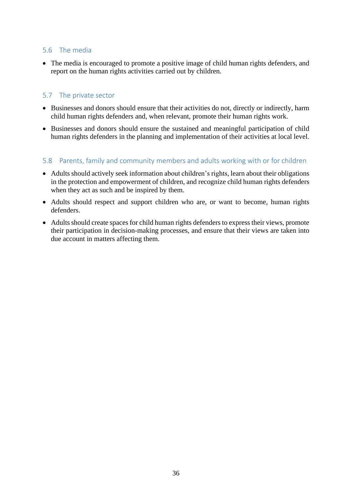## <span id="page-35-0"></span>5.6 The media

• The media is encouraged to promote a positive image of child human rights defenders, and report on the human rights activities carried out by children.

## <span id="page-35-1"></span>5.7 The private sector

- Businesses and donors should ensure that their activities do not, directly or indirectly, harm child human rights defenders and, when relevant, promote their human rights work.
- Businesses and donors should ensure the sustained and meaningful participation of child human rights defenders in the planning and implementation of their activities at local level.

## <span id="page-35-2"></span>5.8 Parents, family and community members and adults working with or for children

- Adults should actively seek information about children's rights, learn about their obligations in the protection and empowerment of children, and recognize child human rights defenders when they act as such and be inspired by them.
- Adults should respect and support children who are, or want to become, human rights defenders.
- Adults should create spaces for child human rights defenders to express their views, promote their participation in decision-making processes, and ensure that their views are taken into due account in matters affecting them.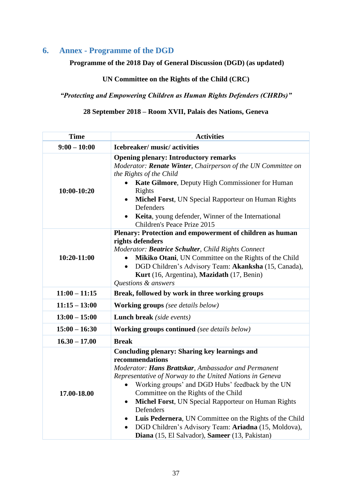## <span id="page-36-0"></span>**6. Annex - Programme of the DGD**

## **Programme of the 2018 Day of General Discussion (DGD) (as updated)**

## **UN Committee on the Rights of the Child (CRC)**

## *"Protecting and Empowering Children as Human Rights Defenders (CHRDs)"*

## **28 September 2018 – Room XVII, Palais des Nations, Geneva**

| <b>Time</b>                                         | <b>Activities</b>                                                                                                                                                                                                                                                                                                                                                                                                                                                                                                                                                      |  |
|-----------------------------------------------------|------------------------------------------------------------------------------------------------------------------------------------------------------------------------------------------------------------------------------------------------------------------------------------------------------------------------------------------------------------------------------------------------------------------------------------------------------------------------------------------------------------------------------------------------------------------------|--|
| $9:00 - 10:00$                                      | Icebreaker/music/activities                                                                                                                                                                                                                                                                                                                                                                                                                                                                                                                                            |  |
| $10:00-10:20$                                       | <b>Opening plenary: Introductory remarks</b><br>Moderator: Renate Winter, Chairperson of the UN Committee on<br>the Rights of the Child<br>Kate Gilmore, Deputy High Commissioner for Human<br>Rights<br>Michel Forst, UN Special Rapporteur on Human Rights<br>$\bullet$<br>Defenders<br>Keita, young defender, Winner of the International<br>Children's Peace Prize 2015                                                                                                                                                                                            |  |
| 10:20-11:00                                         | Plenary: Protection and empowerment of children as human<br>rights defenders<br>Moderator: Beatrice Schulter, Child Rights Connect<br>Mikiko Otani, UN Committee on the Rights of the Child<br>DGD Children's Advisory Team: Akanksha (15, Canada),<br>$\bullet$<br>Kurt (16, Argentina), Mazidath (17, Benin)<br>Questions & answers                                                                                                                                                                                                                                  |  |
| $11:00 - 11:15$                                     | Break, followed by work in three working groups                                                                                                                                                                                                                                                                                                                                                                                                                                                                                                                        |  |
| $11:15 - 13:00$                                     | <b>Working groups</b> (see details below)                                                                                                                                                                                                                                                                                                                                                                                                                                                                                                                              |  |
| $13:00 - 15:00$<br><b>Lunch break</b> (side events) |                                                                                                                                                                                                                                                                                                                                                                                                                                                                                                                                                                        |  |
| $15:00 - 16:30$                                     | <b>Working groups continued</b> (see details below)                                                                                                                                                                                                                                                                                                                                                                                                                                                                                                                    |  |
| $16.30 - 17.00$                                     | <b>Break</b>                                                                                                                                                                                                                                                                                                                                                                                                                                                                                                                                                           |  |
| 17.00-18.00                                         | <b>Concluding plenary: Sharing key learnings and</b><br>recommendations<br>Moderator: Hans Brattskar, Ambassador and Permanent<br>Representative of Norway to the United Nations in Geneva<br>Working groups' and DGD Hubs' feedback by the UN<br>$\bullet$<br>Committee on the Rights of the Child<br>Michel Forst, UN Special Rapporteur on Human Rights<br>$\bullet$<br>Defenders<br>Luis Pedernera, UN Committee on the Rights of the Child<br>$\bullet$<br>DGD Children's Advisory Team: Ariadna (15, Moldova),<br>Diana (15, El Salvador), Sameer (13, Pakistan) |  |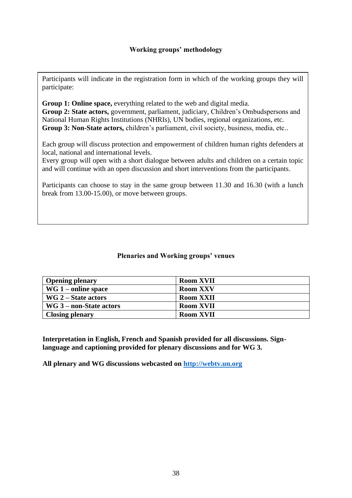Participants will indicate in the registration form in which of the working groups they will participate:

**Group 1: Online space,** everything related to the web and digital media. **Group 2: State actors,** government, parliament, judiciary, Children's Ombudspersons and National Human Rights Institutions (NHRIs), UN bodies, regional organizations, etc. **Group 3: Non-State actors,** children's parliament, civil society, business, media, etc..

Each group will discuss protection and empowerment of children human rights defenders at local, national and international levels.

Every group will open with a short dialogue between adults and children on a certain topic and will continue with an open discussion and short interventions from the participants.

Participants can choose to stay in the same group between 11.30 and 16.30 (with a lunch break from 13.00-15.00), or move between groups.

## **Plenaries and Working groups' venues**

| <b>Opening plenary</b>    | <b>Room XVII</b> |
|---------------------------|------------------|
| $WG_1$ – online space     | <b>Room XXV</b>  |
| $WG 2 - State actors$     | <b>Room XXII</b> |
| $WG_3$ – non-State actors | <b>Room XVII</b> |
| <b>Closing plenary</b>    | <b>Room XVII</b> |

**Interpretation in English, French and Spanish provided for all discussions. Signlanguage and captioning provided for plenary discussions and for WG 3.**

**All plenary and WG discussions webcasted on [http://webtv.un.org](http://webtv.un.org/)**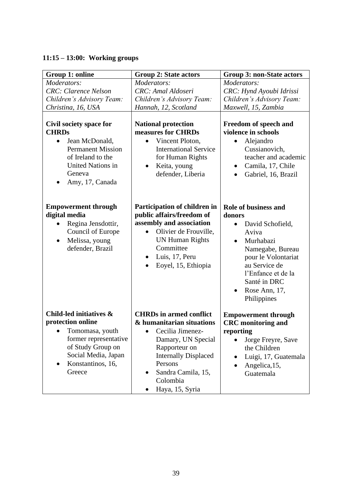## **11:15 – 13:00: Working groups**

| Group 1: online                                                                                                                                                                               | <b>Group 2: State actors</b>                                                                                                                                                                                                    | <b>Group 3: non-State actors</b>                                                                                                                                                                                                    |
|-----------------------------------------------------------------------------------------------------------------------------------------------------------------------------------------------|---------------------------------------------------------------------------------------------------------------------------------------------------------------------------------------------------------------------------------|-------------------------------------------------------------------------------------------------------------------------------------------------------------------------------------------------------------------------------------|
| Moderators:<br><b>CRC</b> : Clarence Nelson                                                                                                                                                   | Moderators:<br>CRC: Amal Aldoseri                                                                                                                                                                                               | Moderators:<br>CRC: Hynd Ayoubi Idrissi                                                                                                                                                                                             |
| Children's Advisory Team:<br>Christina, 16, USA                                                                                                                                               | Children's Advisory Team:                                                                                                                                                                                                       | Children's Advisory Team:<br>Maxwell, 15, Zambia                                                                                                                                                                                    |
| Civil society space for<br><b>CHRDs</b><br>Jean McDonald,<br>$\bullet$<br><b>Permanent Mission</b><br>of Ireland to the<br><b>United Nations in</b><br>Geneva<br>Amy, 17, Canada<br>$\bullet$ | Hannah, 12, Scotland<br><b>National protection</b><br>measures for CHRDs<br>Vincent Ploton,<br>$\bullet$<br><b>International Service</b><br>for Human Rights<br>Keita, young<br>$\bullet$<br>defender, Liberia                  | Freedom of speech and<br>violence in schools<br>Alejandro<br>Cussianovich,<br>teacher and academic<br>Camila, 17, Chile<br>٠<br>Gabriel, 16, Brazil<br>$\bullet$                                                                    |
| <b>Empowerment through</b><br>digital media<br>Regina Jensdottir,<br>$\bullet$<br>Council of Europe<br>Melissa, young<br>$\bullet$<br>defender, Brazil                                        | Participation of children in<br>public affairs/freedom of<br>assembly and association<br>Olivier de Frouville,<br>$\bullet$<br><b>UN Human Rights</b><br>Committee<br>Luis, 17, Peru<br>$\bullet$<br>Eoyel, 15, Ethiopia        | <b>Role of business and</b><br>donors<br>David Schofield,<br>Aviva<br>Murhabazi<br>$\bullet$<br>Namegabe, Bureau<br>pour le Volontariat<br>au Service de<br>l'Enfance et de la<br>Santé in DRC<br>Rose Ann, 17,<br>٠<br>Philippines |
| Child-led initiatives &<br>protection online<br>Tomomasa, youth<br>former representative<br>of Study Group on<br>Social Media, Japan<br>Konstantinos, 16,<br>Greece                           | <b>CHRDs</b> in armed conflict<br>& humanitarian situations<br>$\bullet$ Cecilia Jimenez-<br>Damary, UN Special<br>Rapporteur on<br><b>Internally Displaced</b><br>Persons<br>Sandra Camila, 15,<br>Colombia<br>Haya, 15, Syria | <b>Empowerment through</b><br><b>CRC</b> monitoring and<br>reporting<br>Jorge Freyre, Save<br>$\bullet$<br>the Children<br>Luigi, 17, Guatemala<br>Angelica, 15,<br>Guatemala                                                       |